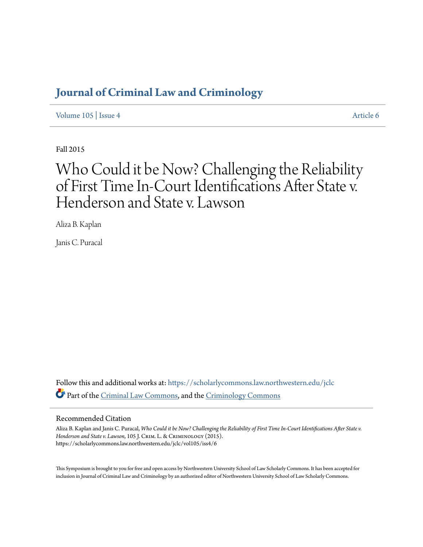# **[Journal of Criminal Law and Criminology](https://scholarlycommons.law.northwestern.edu/jclc?utm_source=scholarlycommons.law.northwestern.edu%2Fjclc%2Fvol105%2Fiss4%2F6&utm_medium=PDF&utm_campaign=PDFCoverPages)**

[Volume 105](https://scholarlycommons.law.northwestern.edu/jclc/vol105?utm_source=scholarlycommons.law.northwestern.edu%2Fjclc%2Fvol105%2Fiss4%2F6&utm_medium=PDF&utm_campaign=PDFCoverPages) | [Issue 4](https://scholarlycommons.law.northwestern.edu/jclc/vol105/iss4?utm_source=scholarlycommons.law.northwestern.edu%2Fjclc%2Fvol105%2Fiss4%2F6&utm_medium=PDF&utm_campaign=PDFCoverPages) [Article 6](https://scholarlycommons.law.northwestern.edu/jclc/vol105/iss4/6?utm_source=scholarlycommons.law.northwestern.edu%2Fjclc%2Fvol105%2Fiss4%2F6&utm_medium=PDF&utm_campaign=PDFCoverPages)

Fall 2015

# Who Could it be Now? Challenging the Reliability of First Time In-Court Identifications After State v. Henderson and State v. Lawson

Aliza B. Kaplan

Janis C. Puracal

Follow this and additional works at: [https://scholarlycommons.law.northwestern.edu/jclc](https://scholarlycommons.law.northwestern.edu/jclc?utm_source=scholarlycommons.law.northwestern.edu%2Fjclc%2Fvol105%2Fiss4%2F6&utm_medium=PDF&utm_campaign=PDFCoverPages) Part of the [Criminal Law Commons](http://network.bepress.com/hgg/discipline/912?utm_source=scholarlycommons.law.northwestern.edu%2Fjclc%2Fvol105%2Fiss4%2F6&utm_medium=PDF&utm_campaign=PDFCoverPages), and the [Criminology Commons](http://network.bepress.com/hgg/discipline/417?utm_source=scholarlycommons.law.northwestern.edu%2Fjclc%2Fvol105%2Fiss4%2F6&utm_medium=PDF&utm_campaign=PDFCoverPages)

#### Recommended Citation

Aliza B. Kaplan and Janis C. Puracal, *Who Could it be Now? Challenging the Reliability of First Time In-Court Identifications After State v. Henderson and State v. Lawson*, 105 J. Crim. L. & Criminology (2015). https://scholarlycommons.law.northwestern.edu/jclc/vol105/iss4/6

This Symposium is brought to you for free and open access by Northwestern University School of Law Scholarly Commons. It has been accepted for inclusion in Journal of Criminal Law and Criminology by an authorized editor of Northwestern University School of Law Scholarly Commons.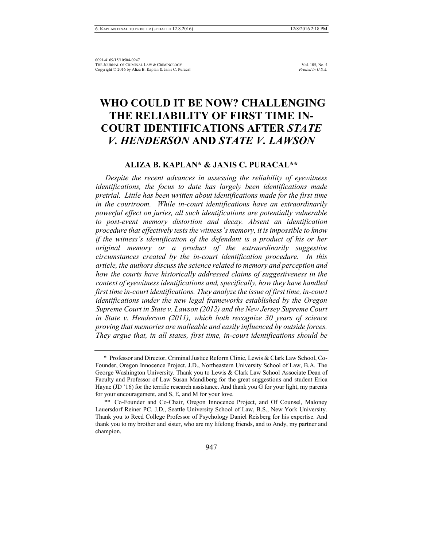# **WHO COULD IT BE NOW? CHALLENGING THE RELIABILITY OF FIRST TIME IN-COURT IDENTIFICATIONS AFTER** *STATE V. HENDERSON* **AND** *STATE V. LAWSON*

# **ALIZA B. KAPLAN\* & JANIS C. PURACAL\*\***

 *Despite the recent advances in assessing the reliability of eyewitness identifications, the focus to date has largely been identifications made pretrial. Little has been written about identifications made for the first time in the courtroom. While in-court identifications have an extraordinarily powerful effect on juries, all such identifications are potentially vulnerable to post-event memory distortion and decay. Absent an identification procedure that effectively tests the witness's memory, it is impossible to know if the witness's identification of the defendant is a product of his or her original memory or a product of the extraordinarily suggestive circumstances created by the in-court identification procedure. In this article, the authors discuss the science related to memory and perception and how the courts have historically addressed claims of suggestiveness in the context of eyewitness identifications and, specifically, how they have handled first time in-court identifications. They analyze the issue of first time, in-court identifications under the new legal frameworks established by the Oregon Supreme Court in State v. Lawson (2012) and the New Jersey Supreme Court in State v. Henderson (2011), which both recognize 30 years of science proving that memories are malleable and easily influenced by outside forces. They argue that, in all states, first time, in-court identifications should be* 

<sup>\*</sup> Professor and Director, Criminal Justice Reform Clinic, Lewis & Clark Law School, Co-Founder, Oregon Innocence Project. J.D., Northeastern University School of Law, B.A. The George Washington University. Thank you to Lewis & Clark Law School Associate Dean of Faculty and Professor of Law Susan Mandiberg for the great suggestions and student Erica Hayne (JD '16) for the terrific research assistance. And thank you G for your light, my parents for your encouragement, and S, E, and M for your love.

<sup>\*\*</sup> Co-Founder and Co-Chair, Oregon Innocence Project, and Of Counsel, Maloney Lauersdorf Reiner PC. J.D., Seattle University School of Law, B.S., New York University. Thank you to Reed College Professor of Psychology Daniel Reisberg for his expertise. And thank you to my brother and sister, who are my lifelong friends, and to Andy, my partner and champion.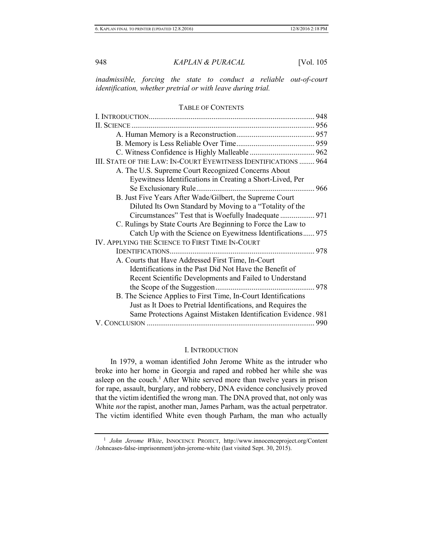*inadmissible, forcing the state to conduct a reliable out-of-court identification, whether pretrial or with leave during trial.* 

#### TABLE OF CONTENTS

| III. STATE OF THE LAW: IN-COURT EYEWITNESS IDENTIFICATIONS  964 |  |
|-----------------------------------------------------------------|--|
| A. The U.S. Supreme Court Recognized Concerns About             |  |
| Eyewitness Identifications in Creating a Short-Lived, Per       |  |
|                                                                 |  |
| B. Just Five Years After Wade/Gilbert, the Supreme Court        |  |
| Diluted Its Own Standard by Moving to a "Totality of the        |  |
|                                                                 |  |
| C. Rulings by State Courts Are Beginning to Force the Law to    |  |
| Catch Up with the Science on Eyewitness Identifications 975     |  |
| IV. APPLYING THE SCIENCE TO FIRST TIME IN-COURT                 |  |
|                                                                 |  |
| A. Courts that Have Addressed First Time, In-Court              |  |
| Identifications in the Past Did Not Have the Benefit of         |  |
| Recent Scientific Developments and Failed to Understand         |  |
|                                                                 |  |
| B. The Science Applies to First Time, In-Court Identifications  |  |
| Just as It Does to Pretrial Identifications, and Requires the   |  |
| Same Protections Against Mistaken Identification Evidence. 981  |  |
|                                                                 |  |

#### I. INTRODUCTION

In 1979, a woman identified John Jerome White as the intruder who broke into her home in Georgia and raped and robbed her while she was asleep on the couch.<sup>1</sup> After White served more than twelve years in prison for rape, assault, burglary, and robbery, DNA evidence conclusively proved that the victim identified the wrong man. The DNA proved that, not only was White *not* the rapist, another man, James Parham, was the actual perpetrator. The victim identified White even though Parham, the man who actually

<sup>&</sup>lt;sup>1</sup> John Jerome White, INNOCENCE PROJECT, http://www.innocenceproject.org/Content /Johncases-false-imprisonment/john-jerome-white (last visited Sept. 30, 2015).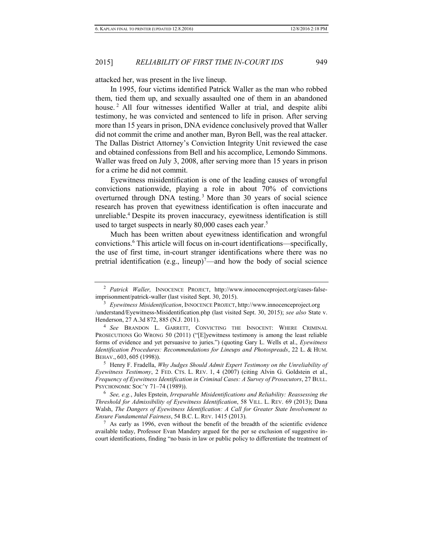attacked her, was present in the live lineup.

In 1995, four victims identified Patrick Waller as the man who robbed them, tied them up, and sexually assaulted one of them in an abandoned house.<sup>2</sup> All four witnesses identified Waller at trial, and despite alibi testimony, he was convicted and sentenced to life in prison. After serving more than 15 years in prison, DNA evidence conclusively proved that Waller did not commit the crime and another man, Byron Bell, was the real attacker. The Dallas District Attorney's Conviction Integrity Unit reviewed the case and obtained confessions from Bell and his accomplice, Lemondo Simmons. Waller was freed on July 3, 2008, after serving more than 15 years in prison for a crime he did not commit.

<span id="page-3-0"></span>Eyewitness misidentification is one of the leading causes of wrongful convictions nationwide, playing a role in about 70% of convictions overturned through DNA testing.<sup>3</sup> More than 30 years of social science research has proven that eyewitness identification is often inaccurate and unreliable.<sup>4</sup> Despite its proven inaccuracy, eyewitness identification is still used to target suspects in nearly  $80,000$  cases each year.<sup>5</sup>

<span id="page-3-3"></span><span id="page-3-2"></span><span id="page-3-1"></span>Much has been written about eyewitness identification and wrongful convictions.<sup>6</sup> This article will focus on in-court identifications—specifically, the use of first time, in-court stranger identifications where there was no pretrial identification (e.g., lineup)<sup>7</sup>—and how the body of social science

6 *See, e.g.*, Jules Epstein, *Irreparable Misidentifications and Reliability: Reassessing the Threshold for Admissibility of Eyewitness Identification*, 58 VILL. L. REV. 69 (2013); Dana Walsh, *The Dangers of Eyewitness Identification: A Call for Greater State Involvement to Ensure Fundamental Fairness*, 54 B.C. L. REV. 1415 (2013).

 $7$  As early as 1996, even without the benefit of the breadth of the scientific evidence available today, Professor Evan Mandery argued for the per se exclusion of suggestive incourt identifications, finding "no basis in law or public policy to differentiate the treatment of

<sup>2</sup> *Patrick Waller,* INNOCENCE PROJECT, http://www.innocenceproject.org/cases-falseimprisonment/patrick-waller (last visited Sept. 30, 2015).

<sup>3</sup> *Eyewitness Misidentification*, INNOCENCE PROJECT, [http://www.innocenceproject.org](http://www.innocenceproject.org/)  /understand/Eyewitness-Misidentification.php (last visited Sept. 30, 2015); *see also* State v. Henderson, 27 A.3d 872, 885 (N.J. 2011).

<sup>4</sup> *See* BRANDON L. GARRETT, CONVICTING THE INNOCENT: WHERE CRIMINAL PROSECUTIONS GO WRONG 50 (2011) ("[E]yewitness testimony is among the least reliable forms of evidence and yet persuasive to juries.") (quoting Gary L. Wells et al., *Eyewitness Identification Procedures: Recommendations for Lineups and Photospreads*, 22 L. & HUM. BEHAV., 603, 605 (1998)).

<sup>5</sup> Henry F. Fradella, *Why Judges Should Admit Expert Testimony on the Unreliability of Eyewitness Testimony*, 2 FED. CTS. L. REV. 1, 4 (2007) (citing Alvin G. Goldstein et al., *Frequency of Eyewitness Identification in Criminal Cases: A Survey of Prosecutors*, 27 BULL. PSYCHONOMIC SOC'Y 71–74 (1989)).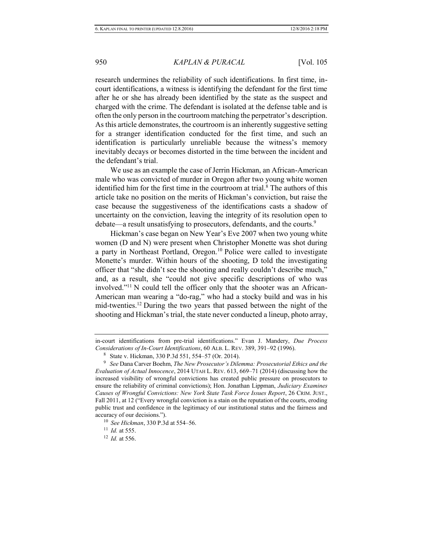research undermines the reliability of such identifications. In first time, incourt identifications, a witness is identifying the defendant for the first time after he or she has already been identified by the state as the suspect and charged with the crime. The defendant is isolated at the defense table and is often the only person in the courtroom matching the perpetrator's description. As this article demonstrates, the courtroom is an inherently suggestive setting for a stranger identification conducted for the first time, and such an identification is particularly unreliable because the witness's memory inevitably decays or becomes distorted in the time between the incident and the defendant's trial.

We use as an example the case of Jerrin Hickman, an African-American male who was convicted of murder in Oregon after two young white women identified him for the first time in the courtroom at trial.<sup>8</sup> The authors of this article take no position on the merits of Hickman's conviction, but raise the case because the suggestiveness of the identifications casts a shadow of uncertainty on the conviction, leaving the integrity of its resolution open to debate—a result unsatisfying to prosecutors, defendants, and the courts.<sup>9</sup>

Hickman's case began on New Year's Eve 2007 when two young white women (D and N) were present when Christopher Monette was shot during a party in Northeast Portland, Oregon.<sup>10</sup> Police were called to investigate Monette's murder. Within hours of the shooting, D told the investigating officer that "she didn't see the shooting and really couldn't describe much," and, as a result, she "could not give specific descriptions of who was involved."11 N could tell the officer only that the shooter was an African-American man wearing a "do-rag," who had a stocky build and was in his mid-twenties.<sup>12</sup> During the two years that passed between the night of the shooting and Hickman's trial, the state never conducted a lineup, photo array,

in-court identifications from pre-trial identifications." Evan J. Mandery, *Due Process Considerations of In-Court Identifications*, 60 ALB. L. REV. 389, 391–92 (1996).

<sup>8</sup> State v. Hickman, 330 P.3d 551, 554–57 (Or. 2014).

<sup>9</sup> *See* Dana Carver Boehm, *The New Prosecutor's Dilemma: Prosecutorial Ethics and the Evaluation of Actual Innocence*, 2014 UTAH L. REV. 613, 669–71 (2014) (discussing how the increased visibility of wrongful convictions has created public pressure on prosecutors to ensure the reliability of criminal convictions); Hon. Jonathan Lippman, *Judiciary Examines Causes of Wrongful Convictions: New York State Task Force Issues Report*, 26 CRIM. JUST., Fall 2011, at 12 ("Every wrongful conviction is a stain on the reputation of the courts, eroding public trust and confidence in the legitimacy of our institutional status and the fairness and accuracy of our decisions.").

<sup>10</sup> *See Hickman*, 330 P.3d at 554–56.

<sup>11</sup> *Id.* at 555.

<sup>12</sup> *Id.* at 556.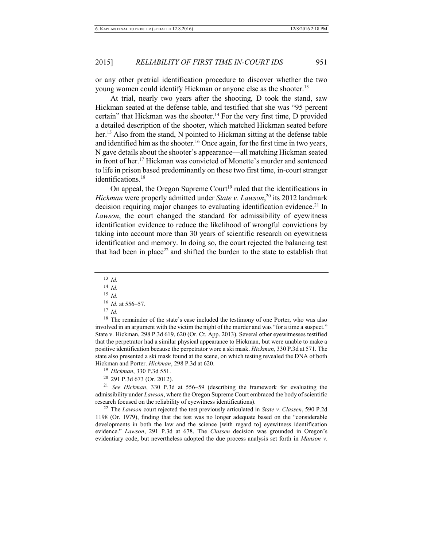or any other pretrial identification procedure to discover whether the two young women could identify Hickman or anyone else as the shooter.<sup>13</sup>

At trial, nearly two years after the shooting, D took the stand, saw Hickman seated at the defense table, and testified that she was "95 percent certain" that Hickman was the shooter.<sup>14</sup> For the very first time, D provided a detailed description of the shooter, which matched Hickman seated before her.<sup>15</sup> Also from the stand, N pointed to Hickman sitting at the defense table and identified him as the shooter.<sup>16</sup> Once again, for the first time in two years, N gave details about the shooter's appearance—all matching Hickman seated in front of her.<sup>17</sup> Hickman was convicted of Monette's murder and sentenced to life in prison based predominantly on these two first time, in-court stranger identifications.<sup>18</sup>

<span id="page-5-0"></span>On appeal, the Oregon Supreme Court<sup>19</sup> ruled that the identifications in *Hickman* were properly admitted under *State v. Lawson*, <sup>20</sup> its 2012 landmark decision requiring major changes to evaluating identification evidence.<sup>21</sup> In *Lawson*, the court changed the standard for admissibility of eyewitness identification evidence to reduce the likelihood of wrongful convictions by taking into account more than 30 years of scientific research on eyewitness identification and memory. In doing so, the court rejected the balancing test that had been in place<sup>22</sup> and shifted the burden to the state to establish that

<span id="page-5-1"></span><sup>13</sup> *Id.* <sup>14</sup> *Id.* <sup>15</sup> *Id.*

<sup>16</sup> *Id.* at 556–57.

<sup>17</sup> *Id.*

<sup>18</sup> The remainder of the state's case included the testimony of one Porter, who was also involved in an argument with the victim the night of the murder and was "for a time a suspect." State v. Hickman, 298 P.3d 619, 620 (Or. Ct. App. 2013). Several other eyewitnesses testified that the perpetrator had a similar physical appearance to Hickman, but were unable to make a positive identification because the perpetrator wore a ski mask. *Hickman*, 330 P.3d at 571. The state also presented a ski mask found at the scene, on which testing revealed the DNA of both Hickman and Porter. *Hickman*, 298 P.3d at 620.

<sup>19</sup> *Hickman*, 330 P.3d 551.

<sup>20</sup> 291 P.3d 673 (Or. 2012).

<sup>21</sup> *See Hickman*, 330 P.3d at 556–59 (describing the framework for evaluating the admissibility under *Lawson*, where the Oregon Supreme Court embraced the body of scientific research focused on the reliability of eyewitness identifications).

<sup>22</sup> The *Lawson* court rejected the test previously articulated in *State v. Classen*, 590 P.2d 1198 (Or. 1979), finding that the test was no longer adequate based on the "considerable developments in both the law and the science [with regard to] eyewitness identification evidence." *Lawson*, 291 P.3d at 678. The *Classen* decision was grounded in Oregon's evidentiary code, but nevertheless adopted the due process analysis set forth in *Manson v.*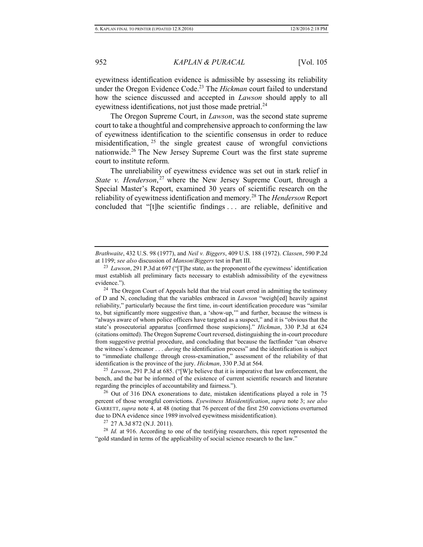eyewitness identification evidence is admissible by assessing its reliability under the Oregon Evidence Code.<sup>23</sup> The *Hickman* court failed to understand how the science discussed and accepted in *Lawson* should apply to all eyewitness identifications, not just those made pretrial.<sup>24</sup>

The Oregon Supreme Court, in *Lawson*, was the second state supreme court to take a thoughtful and comprehensive approach to conforming the law of eyewitness identification to the scientific consensus in order to reduce misidentification,  $25$  the single greatest cause of wrongful convictions nationwide.<sup>26</sup> The New Jersey Supreme Court was the first state supreme court to institute reform.

The unreliability of eyewitness evidence was set out in stark relief in *State v. Henderson*, <sup>27</sup> where the New Jersey Supreme Court, through a Special Master's Report, examined 30 years of scientific research on the reliability of eyewitness identification and memory.<sup>28</sup> The *Henderson* Report concluded that "[t]he scientific findings . . . are reliable, definitive and

<sup>24</sup> The Oregon Court of Appeals held that the trial court erred in admitting the testimony of D and N, concluding that the variables embraced in *Lawson* "weigh[ed] heavily against reliability," particularly because the first time, in-court identification procedure was "similar to, but significantly more suggestive than, a 'show-up,'" and further, because the witness is "always aware of whom police officers have targeted as a suspect," and it is "obvious that the state's prosecutorial apparatus [confirmed those suspicions]." *Hickman*, 330 P.3d at 624 (citations omitted). The Oregon Supreme Court reversed, distinguishing the in-court procedure from suggestive pretrial procedure, and concluding that because the factfinder "can observe the witness's demeanor . . . *during* the identification process" and the identification is subject to "immediate challenge through cross-examination," assessment of the reliability of that identification is the province of the jury. *Hickman*, 330 P.3d at 564.

<sup>25</sup> *Lawson*, 291 P.3d at 685. ("[W]e believe that it is imperative that law enforcement, the bench, and the bar be informed of the existence of current scientific research and literature regarding the principles of accountability and fairness.").

 $26$  Out of 316 DNA exonerations to date, mistaken identifications played a role in 75 percent of those wrongful convictions. *Eyewitness Misidentification*, *supra* note [3;](#page-3-0) *see also* GARRETT, *supra* not[e 4,](#page-3-1) at 48 (noting that 76 percent of the first 250 convictions overturned due to DNA evidence since 1989 involved eyewitness misidentification).

 $27$  27 A.3d 872 (N.J. 2011).

<sup>28</sup> *Id.* at 916. According to one of the testifying researchers, this report represented the "gold standard in terms of the applicability of social science research to the law."

*Brathwaite*, 432 U.S. 98 (1977), and *Neil v. Biggers*, 409 U.S. 188 (1972). *Classen*, 590 P.2d at 1199; *see also* discussion of *Manson*/*Biggers* test in Part III.

<sup>23</sup> *Lawson*, 291 P.3d at 697 ("[T]he state, as the proponent of the eyewitness' identification must establish all preliminary facts necessary to establish admissibility of the eyewitness evidence.").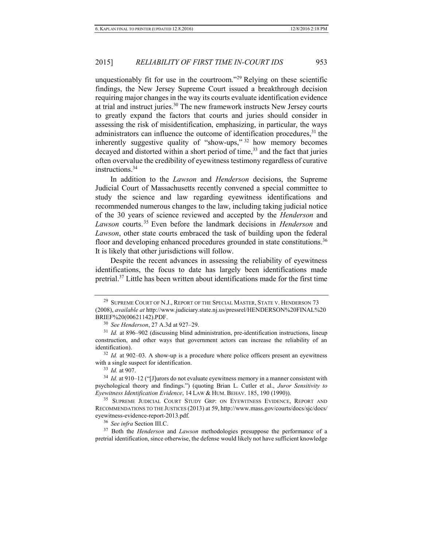unquestionably fit for use in the courtroom."<sup>29</sup> Relying on these scientific findings, the New Jersey Supreme Court issued a breakthrough decision requiring major changes in the way its courts evaluate identification evidence at trial and instruct juries.<sup>30</sup> The new framework instructs New Jersey courts to greatly expand the factors that courts and juries should consider in assessing the risk of misidentification, emphasizing, in particular, the ways administrators can influence the outcome of identification procedures,  $31$  the inherently suggestive quality of "show-ups," <sup>32</sup> how memory becomes decayed and distorted within a short period of time,<sup>33</sup> and the fact that juries often overvalue the credibility of eyewitness testimony regardless of curative instructions.<sup>34</sup>

In addition to the *Lawson* and *Henderson* decisions, the Supreme Judicial Court of Massachusetts recently convened a special committee to study the science and law regarding eyewitness identifications and recommended numerous changes to the law, including taking judicial notice of the 30 years of science reviewed and accepted by the *Henderson* and *Lawson* courts. <sup>35</sup> Even before the landmark decisions in *Henderson* and *Lawson*, other state courts embraced the task of building upon the federal floor and developing enhanced procedures grounded in state constitutions.<sup>36</sup> It is likely that other jurisdictions will follow.

<span id="page-7-0"></span>Despite the recent advances in assessing the reliability of eyewitness identifications, the focus to date has largely been identifications made pretrial.<sup>37</sup> Little has been written about identifications made for the first time

<sup>&</sup>lt;sup>29</sup> SUPREME COURT OF N.J., REPORT OF THE SPECIAL MASTER, STATE V. HENDERSON 73 (2008), *available at* http://www.judiciary.state.nj.us/pressrel/HENDERSON%20FINAL%20 BRIEF%20(00621142).PDF.

<sup>30</sup> *See Henderson*, 27 A.3d at 927–29.

<sup>&</sup>lt;sup>31</sup> *Id.* at 896–902 (discussing blind administration, pre-identification instructions, lineup construction, and other ways that government actors can increase the reliability of an identification).

<sup>&</sup>lt;sup>32</sup> *Id.* at 902–03. A show-up is a procedure where police officers present an eyewitness with a single suspect for identification.

<sup>33</sup> *Id.* at 907.

<sup>34</sup> *Id.* at 910–12 ("[J]urors do not evaluate eyewitness memory in a manner consistent with psychological theory and findings.") (quoting Brian L. Cutler et al., *Juror Sensitivity to Eyewitness Identification Evidence*, 14 LAW & HUM. BEHAV. 185, 190 (1990)).

<sup>&</sup>lt;sup>35</sup> SUPREME JUDICIAL COURT STUDY GRP: ON EYEWITNESS EVIDENCE, REPORT AND RECOMMENDATIONS TO THE JUSTICES (2013) at 59, http://www.mass.gov/courts/docs/sjc/docs/ eyewitness-evidence-report-2013.pdf.

<sup>36</sup> *See infra* Section III.C.

<sup>37</sup> Both the *Henderson* and *Lawson* methodologies presuppose the performance of a pretrial identification, since otherwise, the defense would likely not have sufficient knowledge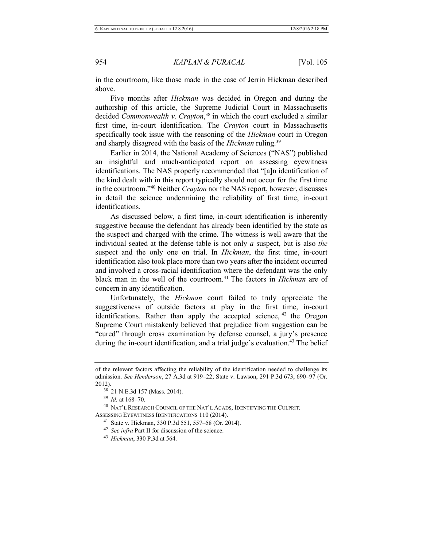in the courtroom, like those made in the case of Jerrin Hickman described above.

Five months after *Hickman* was decided in Oregon and during the authorship of this article, the Supreme Judicial Court in Massachusetts decided *Commonwealth v. Crayton*, <sup>38</sup> in which the court excluded a similar first time, in-court identification. The *Crayton* court in Massachusetts specifically took issue with the reasoning of the *Hickman* court in Oregon and sharply disagreed with the basis of the *Hickman* ruling.<sup>39</sup>

Earlier in 2014, the National Academy of Sciences ("NAS") published an insightful and much-anticipated report on assessing eyewitness identifications. The NAS properly recommended that "[a]n identification of the kind dealt with in this report typically should not occur for the first time in the courtroom."<sup>40</sup> Neither *Crayton* nor the NAS report, however, discusses in detail the science undermining the reliability of first time, in-court identifications.

As discussed below, a first time, in-court identification is inherently suggestive because the defendant has already been identified by the state as the suspect and charged with the crime. The witness is well aware that the individual seated at the defense table is not only *a* suspect, but is also *the* suspect and the only one on trial. In *Hickman*, the first time, in-court identification also took place more than two years after the incident occurred and involved a cross-racial identification where the defendant was the only black man in the well of the courtroom.<sup>41</sup> The factors in *Hickman* are of concern in any identification.

Unfortunately, the *Hickman* court failed to truly appreciate the suggestiveness of outside factors at play in the first time, in-court identifications. Rather than apply the accepted science, <sup>42</sup> the Oregon Supreme Court mistakenly believed that prejudice from suggestion can be "cured" through cross examination by defense counsel, a jury's presence during the in-court identification, and a trial judge's evaluation.<sup>43</sup> The belief

of the relevant factors affecting the reliability of the identification needed to challenge its admission. *See Henderson*, 27 A.3d at 919–22; State v. Lawson, 291 P.3d 673, 690–97 (Or. 2012).

<sup>38</sup> 21 N.E.3d 157 (Mass. 2014).

<sup>39</sup> *Id.* at 168–70.

<sup>40</sup> NAT'L RESEARCH COUNCIL OF THE NAT'L ACADS, IDENTIFYING THE CULPRIT: ASSESSING EYEWITNESS IDENTIFICATIONS 110 (2014).

<sup>41</sup> State v. Hickman, 330 P.3d 551, 557–58 (Or. 2014).

<sup>42</sup> *See infra* Part II for discussion of the science.

<sup>43</sup> *Hickman*, 330 P.3d at 564.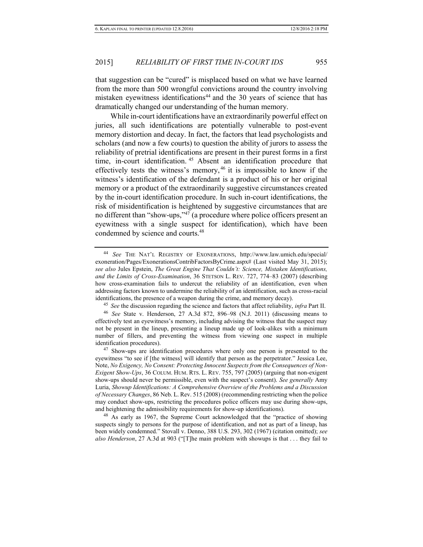<span id="page-9-1"></span>that suggestion can be "cured" is misplaced based on what we have learned from the more than 500 wrongful convictions around the country involving mistaken eyewitness identifications<sup>44</sup> and the 30 years of science that has dramatically changed our understanding of the human memory.

While in-court identifications have an extraordinarily powerful effect on juries, all such identifications are potentially vulnerable to post-event memory distortion and decay. In fact, the factors that lead psychologists and scholars (and now a few courts) to question the ability of jurors to assess the reliability of pretrial identifications are present in their purest forms in a first time, in-court identification. <sup>45</sup> Absent an identification procedure that effectively tests the witness's memory, <sup>46</sup> it is impossible to know if the witness's identification of the defendant is a product of his or her original memory or a product of the extraordinarily suggestive circumstances created by the in-court identification procedure. In such in-court identifications, the risk of misidentification is heightened by suggestive circumstances that are no different than "show-ups," $47$  (a procedure where police officers present an eyewitness with a single suspect for identification), which have been condemned by science and courts.<sup>48</sup>

<sup>45</sup> *See* the discussion regarding the science and factors that affect reliability, *infra* Part II.

<sup>46</sup> *See* State v. Henderson, 27 A.3d 872, 896–98 (N.J. 2011) (discussing means to effectively test an eyewitness's memory, including advising the witness that the suspect may not be present in the lineup, presenting a lineup made up of look-alikes with a minimum number of fillers, and preventing the witness from viewing one suspect in multiple identification procedures).

<sup>47</sup> Show-ups are identification procedures where only one person is presented to the eyewitness "to see if [the witness] will identify that person as the perpetrator." Jessica Lee, Note, *No Exigency, No Consent: Protecting Innocent Suspects from the Consequences of Non-Exigent Show-Ups*, 36 COLUM. HUM. RTS. L. REV. 755, 797 (2005) (arguing that non-exigent show-ups should never be permissible, even with the suspect's consent). *See generally* Amy Luria, *Showup Identifications: A Comprehensive Overview of the Problems and a Discussion of Necessary Changes*, 86 Neb. L. Rev. 515 (2008) (recommending restricting when the police may conduct show-ups, restricting the procedures police officers may use during show-ups, and heightening the admissibility requirements for show-up identifications).

<sup>48</sup> As early as 1967, the Supreme Court acknowledged that the "practice of showing suspects singly to persons for the purpose of identification, and not as part of a lineup, has been widely condemned." Stovall v. Denno, 388 U.S. 293, 302 (1967) (citation omitted); *see also Henderson*, 27 A.3d at 903 ("[T]he main problem with showups is that . . . they fail to

<span id="page-9-0"></span><sup>44</sup> *See* THE NAT'L REGISTRY OF EXONERATIONS, http://www.law.umich.edu/special/ exoneration/Pages/ExonerationsContribFactorsByCrime.aspx# (Last visited May 31, 2015); *see also* Jules Epstein, *The Great Engine That Couldn't: Science, Mistaken Identifications, and the Limits of Cross-Examination*, 36 STETSON L. REV. 727, 774–83 (2007) (describing how cross-examination fails to undercut the reliability of an identification, even when addressing factors known to undermine the reliability of an identification, such as cross-racial identifications, the presence of a weapon during the crime, and memory decay).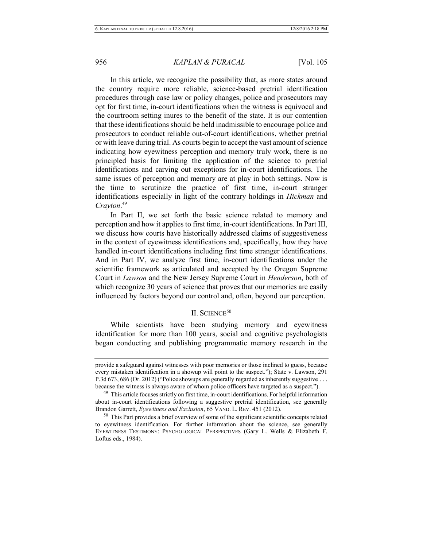In this article, we recognize the possibility that, as more states around the country require more reliable, science-based pretrial identification procedures through case law or policy changes, police and prosecutors may opt for first time, in-court identifications when the witness is equivocal and the courtroom setting inures to the benefit of the state. It is our contention that these identifications should be held inadmissible to encourage police and prosecutors to conduct reliable out-of-court identifications, whether pretrial or with leave during trial. As courts begin to accept the vast amount of science indicating how eyewitness perception and memory truly work, there is no principled basis for limiting the application of the science to pretrial identifications and carving out exceptions for in-court identifications. The same issues of perception and memory are at play in both settings. Now is the time to scrutinize the practice of first time, in-court stranger identifications especially in light of the contrary holdings in *Hickman* and *Crayton*. 49

In Part II, we set forth the basic science related to memory and perception and how it applies to first time, in-court identifications. In Part III, we discuss how courts have historically addressed claims of suggestiveness in the context of eyewitness identifications and, specifically, how they have handled in-court identifications including first time stranger identifications. And in Part IV, we analyze first time, in-court identifications under the scientific framework as articulated and accepted by the Oregon Supreme Court in *Lawson* and the New Jersey Supreme Court in *Henderson*, both of which recognize 30 years of science that proves that our memories are easily influenced by factors beyond our control and, often, beyond our perception.

# II. SCIENCE<sup>50</sup>

While scientists have been studying memory and eyewitness identification for more than 100 years, social and cognitive psychologists began conducting and publishing programmatic memory research in the

provide a safeguard against witnesses with poor memories or those inclined to guess, because every mistaken identification in a showup will point to the suspect."); State v. Lawson, 291 P.3d 673, 686 (Or. 2012) ("Police showups are generally regarded as inherently suggestive . . . because the witness is always aware of whom police officers have targeted as a suspect.").

<sup>&</sup>lt;sup>49</sup> This article focuses strictly on first time, in-court identifications. For helpful information about in-court identifications following a suggestive pretrial identification, see generally Brandon Garrett, *Eyewitness and Exclusion*, 65 VAND. L. REV. 451 (2012).

<sup>&</sup>lt;sup>50</sup> This Part provides a brief overview of some of the significant scientific concepts related to eyewitness identification. For further information about the science, see generally EYEWITNESS TESTIMONY: PSYCHOLOGICAL PERSPECTIVES (Gary L. Wells & Elizabeth F. Loftus eds., 1984).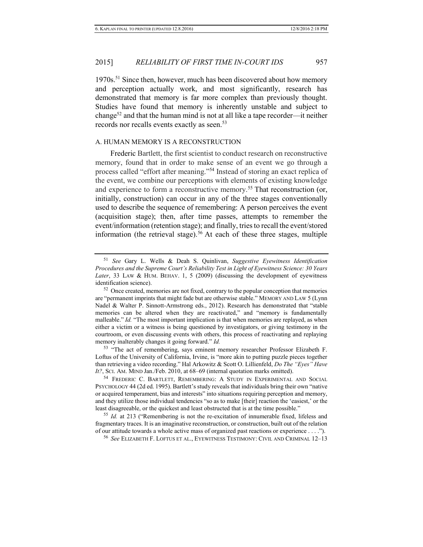1970s.<sup>51</sup> Since then, however, much has been discovered about how memory and perception actually work, and most significantly, research has demonstrated that memory is far more complex than previously thought. Studies have found that memory is inherently unstable and subject to change<sup>52</sup> and that the human mind is not at all like a tape recorder—it neither records nor recalls events exactly as seen.<sup>53</sup>

#### <span id="page-11-3"></span><span id="page-11-1"></span>A. HUMAN MEMORY IS A RECONSTRUCTION

<span id="page-11-2"></span>Frederic Bartlett, the first scientist to conduct research on reconstructive memory, found that in order to make sense of an event we go through a process called "effort after meaning."<sup>54</sup> Instead of storing an exact replica of the event, we combine our perceptions with elements of existing knowledge and experience to form a reconstructive memory.<sup>55</sup> That reconstruction (or, initially, construction) can occur in any of the three stages conventionally used to describe the sequence of remembering: A person perceives the event (acquisition stage); then, after time passes, attempts to remember the event/information (retention stage); and finally, tries to recall the event/stored information (the retrieval stage).<sup>56</sup> At each of these three stages, multiple

<sup>53</sup> "The act of remembering, says eminent memory researcher Professor Elizabeth F. Loftus of the University of California, Irvine, is "more akin to putting puzzle pieces together than retrieving a video recording." Hal Arkowitz & Scott O. Lillienfeld, *Do The "Eyes" Have It?*, SCI. AM. MIND Jan./Feb. 2010, at 68–69 (internal quotation marks omitted).

<sup>54</sup> FREDERIC C. BARTLETT, REMEMBERING: A STUDY IN EXPERIMENTAL AND SOCIAL PSYCHOLOGY 44 (2d ed. 1995). Bartlett's study reveals that individuals bring their own "native or acquired temperament, bias and interests" into situations requiring perception and memory, and they utilize those individual tendencies "so as to make [their] reaction the 'easiest,' or the least disagreeable, or the quickest and least obstructed that is at the time possible."

<sup>55</sup> *Id.* at 213 ("Remembering is not the re-excitation of innumerable fixed, lifeless and fragmentary traces. It is an imaginative reconstruction, or construction, built out of the relation of our attitude towards a whole active mass of organized past reactions or experience . . . .").

<sup>56</sup> *See* ELIZABETH F. LOFTUS ET AL., EYEWITNESS TESTIMONY: CIVIL AND CRIMINAL 12–13

<span id="page-11-0"></span><sup>51</sup> *See* Gary L. Wells & Deah S. Quinlivan, *Suggestive Eyewitness Identification Procedures and the Supreme Court's Reliability Test in Light of Eyewitness Science: 30 Years Later*, 33 LAW & HUM. BEHAV. 1, 5 (2009) (discussing the development of eyewitness identification science).

 $52$  Once created, memories are not fixed, contrary to the popular conception that memories are "permanent imprints that might fade but are otherwise stable." MEMORY AND LAW 5 (Lynn Nadel & Walter P. Sinnott-Armstrong eds., 2012). Research has demonstrated that "stable memories can be altered when they are reactivated," and "memory is fundamentally malleable." *Id.* "The most important implication is that when memories are replayed, as when either a victim or a witness is being questioned by investigators, or giving testimony in the courtroom, or even discussing events with others, this process of reactivating and replaying memory inalterably changes it going forward." *Id.*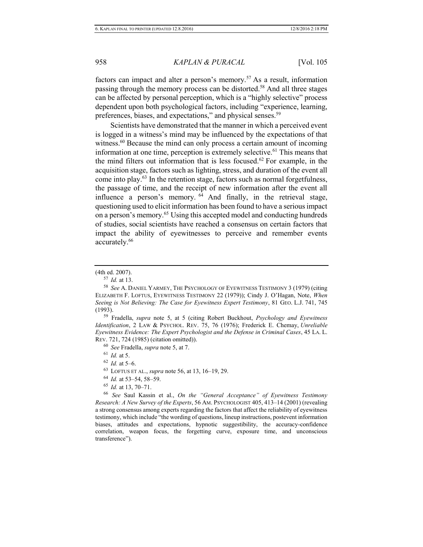factors can impact and alter a person's memory.<sup>57</sup> As a result, information passing through the memory process can be distorted.<sup>58</sup> And all three stages can be affected by personal perception, which is a "highly selective" process dependent upon both psychological factors, including "experience, learning, preferences, biases, and expectations," and physical senses.<sup>59</sup>

Scientists have demonstrated that the manner in which a perceived event is logged in a witness's mind may be influenced by the expectations of that witness.<sup>60</sup> Because the mind can only process a certain amount of incoming information at one time, perception is extremely selective.<sup>61</sup> This means that the mind filters out information that is less focused.<sup>62</sup> For example, in the acquisition stage, factors such as lighting, stress, and duration of the event all come into play.<sup>63</sup> In the retention stage, factors such as normal forgetfulness, the passage of time, and the receipt of new information after the event all influence a person's memory. <sup>64</sup> And finally, in the retrieval stage, questioning used to elicit information has been found to have a serious impact on a person's memory.<sup>65</sup> Using this accepted model and conducting hundreds of studies, social scientists have reached a consensus on certain factors that impact the ability of eyewitnesses to perceive and remember events accurately.<sup>66</sup>

<sup>59</sup> Fradella, *supra* note [5,](#page-3-2) at 5 (citing Robert Buckhout, *Psychology and Eyewitness Identification*, 2 LAW & PSYCHOL. REV. 75, 76 (1976); Frederick E. Chemay, *Unreliable Eyewitness Evidence: The Expert Psychologist and the Defense in Criminal Cases*, 45 LA. L. REV. 721, 724 (1985) (citation omitted)).

 $62$  *Id.* at 5–6.

- <sup>64</sup> *Id.* at 53–54, 58–59.
- <sup>65</sup> *Id.* at 13, 70–71.

<sup>66</sup> *See* Saul Kassin et al., *On the "General Acceptance" of Eyewitness Testimony Research: A New Survey of the Experts*, 56 AM. PSYCHOLOGIST 405, 413–14 (2001) (revealing a strong consensus among experts regarding the factors that affect the reliability of eyewitness testimony, which include "the wording of questions, lineup instructions, postevent information biases, attitudes and expectations, hypnotic suggestibility, the accuracy-confidence correlation, weapon focus, the forgetting curve, exposure time, and unconscious transference").

<sup>(4</sup>th ed. 2007).

<sup>57</sup> *Id.* at 13.

<sup>58</sup> *See* A. DANIEL YARMEY, THE PSYCHOLOGY OF EYEWITNESS TESTIMONY 3 (1979) (citing ELIZABETH F. LOFTUS, EYEWITNESS TESTIMONY 22 (1979)); Cindy J. O'Hagan, Note, *When Seeing is Not Believing: The Case for Eyewitness Expert Testimony*, 81 GEO. L.J. 741, 745 (1993).

<sup>60</sup> *See* Fradella, *supra* not[e 5,](#page-3-2) at 7.

<sup>61</sup> *Id.* at 5.

<sup>63</sup> LOFTUS ET AL., *supra* note [56,](#page-11-0) at 13, 16–19, 29.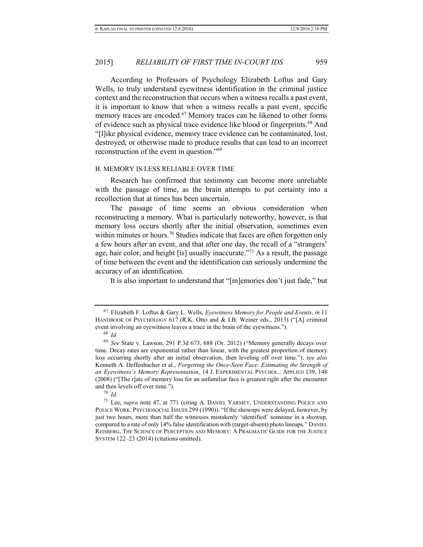According to Professors of Psychology Elizabeth Loftus and Gary Wells, to truly understand eyewitness identification in the criminal justice context and the reconstruction that occurs when a witness recalls a past event, it is important to know that when a witness recalls a past event, specific memory traces are encoded.<sup>67</sup> Memory traces can be likened to other forms of evidence such as physical trace evidence like blood or fingerprints.<sup>68</sup> And "[l]ike physical evidence, memory trace evidence can be contaminated, lost, destroyed, or otherwise made to produce results that can lead to an incorrect reconstruction of the event in question."<sup>69</sup>

#### B. MEMORY IS LESS RELIABLE OVER TIME

Research has confirmed that testimony can become more unreliable with the passage of time, as the brain attempts to put certainty into a recollection that at times has been uncertain.

The passage of time seems an obvious consideration when reconstructing a memory. What is particularly noteworthy, however, is that memory loss occurs shortly after the initial observation, sometimes even within minutes or hours.<sup>70</sup> Studies indicate that faces are often forgotten only a few hours after an event, and that after one day, the recall of a "strangers' age, hair color, and height [is] usually inaccurate."<sup>71</sup> As a result, the passage of time between the event and the identification can seriously undermine the accuracy of an identification.

It is also important to understand that "[m]emories don't just fade," but

<sup>67</sup> Elizabeth F. Loftus & Gary L. Wells, *Eyewitness Memory for People and Events*, *in* 11 HANDBOOK OF PSYCHOLOGY 617 (R.K. Otto and & I.B. Weiner eds., 2013) ("[A] criminal event involving an eyewitness leaves a trace in the brain of the eyewitness.").

<sup>68</sup> *Id.*

<sup>69</sup> *See* State v. Lawson, 291 P.3d 673, 688 (Or. 2012) ("Memory generally decays over time. Decay rates are exponential rather than linear, with the greatest proportion of memory loss occurring shortly after an initial observation, then leveling off over time."); *see also*  Kenneth A. Deffenbacher et al., *Forgetting the Once-Seen Face: Estimating the Strength of an Eyewitness's Memory Representation*, 14 J. EXPERIMENTAL PSYCHOL.: APPLIED 139, 148 (2008) ("[The r]ate of memory loss for an unfamiliar face is greatest right after the encounter and then levels off over time*.*").

<sup>70</sup> *Id.*

<sup>71</sup> Lee, *supra* note [47,](#page-9-0) at 771 (citing A. DANIEL YARMEY, UNDERSTANDING POLICE AND POLICE WORK: PSYCHOSOCIAL ISSUES 299 (1990)). "If the showups were delayed*,* however, by just two hours, more than half the witnesses mistakenly 'identified' someone in a showup, compared to a rate of only 14% false identification with (target-absent) photo lineups." DANIEL REISBERG, THE SCIENCE OF PERCEPTION AND MEMORY: A PRAGMATIC GUIDE FOR THE JUSTICE SYSTEM 122–23 (2014) (citations omitted).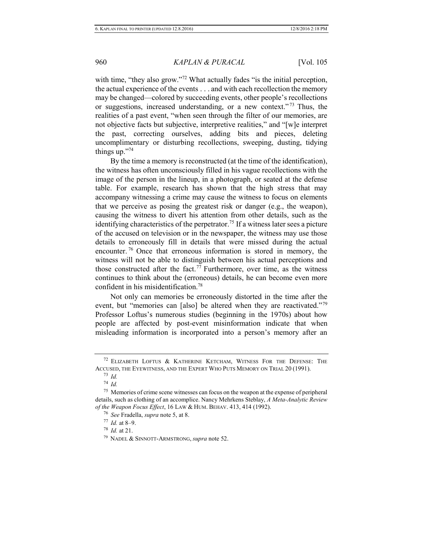with time, "they also grow."<sup>72</sup> What actually fades "is the initial perception, the actual experience of the events . . . and with each recollection the memory may be changed—colored by succeeding events, other people's recollections or suggestions, increased understanding, or a new context." <sup>73</sup> Thus, the realities of a past event, "when seen through the filter of our memories, are not objective facts but subjective, interpretive realities," and "[w]e interpret the past, correcting ourselves, adding bits and pieces, deleting uncomplimentary or disturbing recollections, sweeping, dusting, tidying things up."<sup>74</sup>

By the time a memory is reconstructed (at the time of the identification), the witness has often unconsciously filled in his vague recollections with the image of the person in the lineup, in a photograph, or seated at the defense table. For example, research has shown that the high stress that may accompany witnessing a crime may cause the witness to focus on elements that we perceive as posing the greatest risk or danger (e.g., the weapon), causing the witness to divert his attention from other details, such as the identifying characteristics of the perpetrator.<sup>75</sup> If a witness later sees a picture of the accused on television or in the newspaper, the witness may use those details to erroneously fill in details that were missed during the actual encounter. <sup>76</sup> Once that erroneous information is stored in memory, the witness will not be able to distinguish between his actual perceptions and those constructed after the fact.<sup>77</sup> Furthermore, over time, as the witness continues to think about the (erroneous) details, he can become even more confident in his misidentification.<sup>78</sup>

Not only can memories be erroneously distorted in the time after the event, but "memories can [also] be altered when they are reactivated."<sup>79</sup> Professor Loftus's numerous studies (beginning in the 1970s) about how people are affected by post-event misinformation indicate that when misleading information is incorporated into a person's memory after an

<sup>77</sup> *Id.* at 8–9.

<sup>78</sup> *Id.* at 21.

 $72$  ELIZABETH LOFTUS & KATHERINE KETCHAM, WITNESS FOR THE DEFENSE: THE ACCUSED, THE EYEWITNESS, AND THE EXPERT WHO PUTS MEMORY ON TRIAL 20 (1991).

<sup>73</sup> *Id.*

<sup>74</sup> *Id.*

<sup>75</sup> Memories of crime scene witnesses can focus on the weapon at the expense of peripheral details, such as clothing of an accomplice. Nancy Mehrkens Steblay, *A Meta-Analytic Review of the Weapon Focus Effect*, 16 LAW & HUM. BEHAV. 413, 414 (1992).

<sup>76</sup> *See* Fradella, *supra* not[e 5,](#page-3-2) at 8.

<sup>79</sup> NADEL & SINNOTT-ARMSTRONG, *supra* not[e 52.](#page-11-1)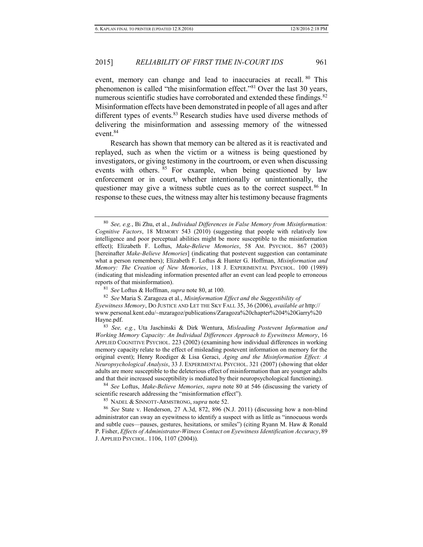<span id="page-15-0"></span>event, memory can change and lead to inaccuracies at recall. <sup>80</sup> This phenomenon is called "the misinformation effect."<sup>81</sup> Over the last 30 years, numerous scientific studies have corroborated and extended these findings.<sup>82</sup> Misinformation effects have been demonstrated in people of all ages and after different types of events.<sup>83</sup> Research studies have used diverse methods of delivering the misinformation and assessing memory of the witnessed event.<sup>84</sup>

Research has shown that memory can be altered as it is reactivated and replayed, such as when the victim or a witness is being questioned by investigators, or giving testimony in the courtroom, or even when discussing events with others. <sup>85</sup> For example, when being questioned by law enforcement or in court, whether intentionally or unintentionally, the questioner may give a witness subtle cues as to the correct suspect.<sup>86</sup> In response to these cues, the witness may alter his testimony because fragments

<sup>82</sup> *See* Maria S. Zaragoza et al., *Misinformation Effect and the Suggestibility of* 

*Eyewitness Memory*, DO JUSTICE AND LET THE SKY FALL 35, 36 (2006), *available at* http:// www.personal.kent.edu/~mzaragoz/publications/Zaragoza%20chapter%204%20Garry%20 Hayne.pdf.

<sup>83</sup> *See, e.g.*, Uta Jaschinski & Dirk Wentura, *Misleading Postevent Information and Working Memory Capacity: An Individual Differences Approach to Eyewitness Memory*, 16 APPLIED COGNITIVE PSYCHOL. 223 (2002) (examining how individual differences in working memory capacity relate to the effect of misleading postevent information on memory for the original event); Henry Roediger & Lisa Geraci, *Aging and the Misinformation Effect: A Neuropsychological Analysis*, 33 J. EXPERIMENTAL PSYCHOL. 321 (2007) (showing that older adults are more susceptible to the deleterious effect of misinformation than are younger adults and that their increased susceptibility is mediated by their neuropsychological functioning).

<sup>84</sup> *See* Loftus, *Make-Believe Memories*, *supra* note [80](#page-15-0) at 546 (discussing the variety of scientific research addressing the "misinformation effect").

<sup>85</sup> NADEL & SINNOTT-ARMSTRONG, *supra* note [52.](#page-11-1)

<sup>86</sup> *See* State v. Henderson, 27 A.3d, 872, 896 (N.J. 2011) (discussing how a non-blind administrator can sway an eyewitness to identify a suspect with as little as "innocuous words and subtle cues—pauses, gestures, hesitations, or smiles") (citing Ryann M. Haw & Ronald P. Fisher, *Effects of Administrator-Witness Contact on Eyewitness Identification Accuracy*, 89 J. APPLIED PSYCHOL. 1106, 1107 (2004)).

<sup>80</sup> *See, e.g.*, Bi Zhu, et al., *Individual Differences in False Memory from Misinformation: Cognitive Factors*, 18 MEMORY 543 (2010) (suggesting that people with relatively low intelligence and poor perceptual abilities might be more susceptible to the misinformation effect); Elizabeth F. Loftus, *Make-Believe Memories*, 58 AM. PSYCHOL. 867 (2003) [hereinafter *Make-Believe Memories*] (indicating that postevent suggestion can contaminate what a person remembers); Elizabeth F. Loftus & Hunter G. Hoffman, *Misinformation and Memory: The Creation of New Memories*, 118 J. EXPERIMENTAL PSYCHOL. 100 (1989) (indicating that misleading information presented after an event can lead people to erroneous reports of that misinformation).

<sup>81</sup> *See* Loftus & Hoffman, *supra* not[e 80,](#page-15-0) at 100.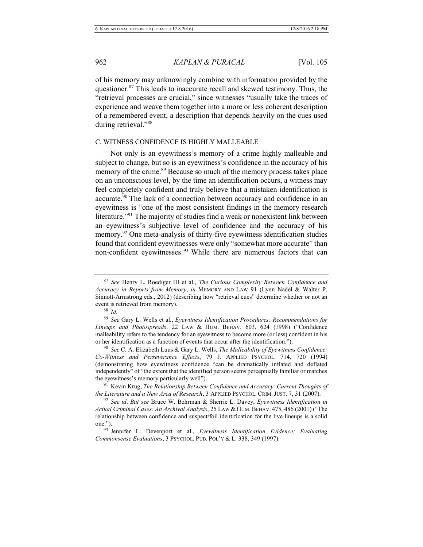of his memory may unknowingly combine with information provided by the questioner.<sup>87</sup> This leads to inaccurate recall and skewed testimony. Thus, the "retrieval processes are crucial," since witnesses "usually take the traces of experience and weave them together into a more or less coherent description of a remembered event, a description that depends heavily on the cues used during retrieval."<sup>88</sup>

#### C. WITNESS CONFIDENCE IS HIGHLY MALLEABLE

Not only is an eyewitness's memory of a crime highly malleable and subject to change, but so is an eyewitness's confidence in the accuracy of his memory of the crime.<sup>89</sup> Because so much of the memory process takes place on an unconscious level, by the time an identification occurs, a witness may feel completely confident and truly believe that a mistaken identification is accurate.<sup>90</sup> The lack of a connection between accuracy and confidence in an eyewitness is "one of the most consistent findings in the memory research literature."<sup>91</sup> The majority of studies find a weak or nonexistent link between an eyewitness's subjective level of confidence and the accuracy of his memory.<sup>92</sup> One meta-analysis of thirty-five eyewitness identification studies found that confident eyewitnesses were only "somewhat more accurate" than non-confident eyewitnesses. <sup>93</sup> While there are numerous factors that can

<sup>88</sup> *Id.*

<sup>87</sup> *See* Henry L. Roediger III et al., *The Curious Complexity Between Confidence and Accuracy in Reports from Memory*, *in* MEMORY AND LAW 91 (Lynn Nadel & Walter P. Sinnott-Armstrong eds., 2012) (describing how "retrieval cues" determine whether or not an event is retrieved from memory).

<sup>89</sup> *See* Gary L. Wells et al., *Eyewitness Identification Procedures: Recommendations for Lineups and Photospreads*, 22 LAW & HUM. BEHAV. 603, 624 (1998) ("Confidence malleability refers to the tendency for an eyewitness to become more (or less) confident in his or her identification as a function of events that occur after the identification.").

<sup>90</sup> *See* C. A. Elizabeth Luus & Gary L. Wells, *The Malleability of Eyewitness Confidence: Co-Witness and Perseverance Effects*, 79 J. APPLIED PSYCHOL. 714, 720 (1994) (demonstrating how eyewitness confidence "can be dramatically inflated and deflated independently" of "the extent that the identified person seems perceptually familiar or matches the eyewitness's memory particularly well").

<sup>91</sup> Kevin Krug, *The Relationship Between Confidence and Accuracy: Current Thoughts of the Literature and a New Area of Research*, 3 APPLIED PSYCHOL. CRIM. JUST. 7, 31 (2007).

<sup>92</sup> *See id*. *But see* Bruce W. Behrman & Sherrie L. Davey, *Eyewitness Identification in Actual Criminal Cases: An Archival Analysis*, 25 LAW & HUM. BEHAV. 475, 486 (2001) ("The relationship between confidence and suspect/foil identification for the live lineups is a solid one.").

<sup>93</sup> Jennifer L. Devenport et al., *Eyewitness Identification Evidence: Evaluating Commonsense Evaluations*, 3 PSYCHOL. PUB. POL'Y & L. 338, 349 (1997).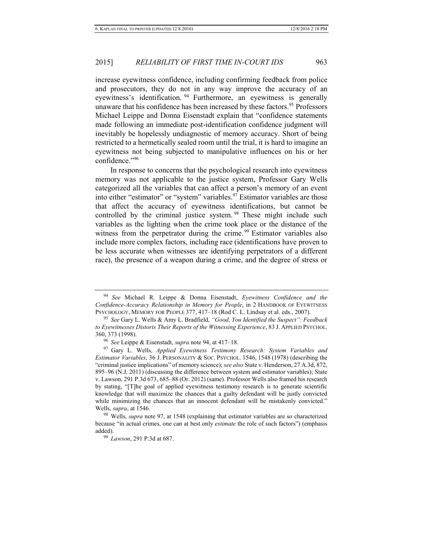<span id="page-17-0"></span>increase eyewitness confidence, including confirming feedback from police and prosecutors, they do not in any way improve the accuracy of an eyewitness's identification. <sup>94</sup> Furthermore, an eyewitness is generally unaware that his confidence has been increased by these factors.<sup>95</sup> Professors Michael Leippe and Donna Eisenstadt explain that "confidence statements made following an immediate post-identification confidence judgment will inevitably be hopelessly undiagnostic of memory accuracy. Short of being restricted to a hermetically sealed room until the trial, it is hard to imagine an eyewitness not being subjected to manipulative influences on his or her confidence."<sup>96</sup>

<span id="page-17-1"></span>In response to concerns that the psychological research into eyewitness memory was not applicable to the justice system, Professor Gary Wells categorized all the variables that can affect a person's memory of an event into either "estimator" or "system" variables.<sup>97</sup> Estimator variables are those that affect the accuracy of eyewitness identifications, but cannot be controlled by the criminal justice system.<sup>98</sup> These might include such variables as the lighting when the crime took place or the distance of the witness from the perpetrator during the crime.<sup>99</sup> Estimator variables also include more complex factors, including race (identifications have proven to be less accurate when witnesses are identifying perpetrators of a different race), the presence of a weapon during a crime, and the degree of stress or

<sup>94</sup> *See* Michael R. Leippe & Donna Eisenstadt, *Eyewitness Confidence and the Confidence-Accuracy Relationship in Memory for People*, in 2 HANDBOOK OF EYEWITNESS PSYCHOLOGY, MEMORY FOR PEOPLE 377, 417–18 (Rod C. L. Lindsay et al. eds., 2007).

<sup>95</sup> *See* Gary L. Wells & Amy L. Bradfield, *"Good, You Identified the Suspect": Feedback to Eyewitnesses Distorts Their Reports of the Witnessing Experience*, 83 J. APPLIED PSYCHOL. 360, 373 (1998).

<sup>96</sup> *See* Leippe & Eisenstadt, *supra* not[e 94,](#page-17-0) at 417–18.

<sup>97</sup> Gary L. Wells, *Applied Eyewitness Testimony Research: System Variables and Estimator Variables*, 36 J. PERSONALITY & SOC. PSYCHOL. 1546, 1548 (1978) (describing the "criminal justice implications" of memory science); *see also* State v. Henderson, 27 A.3d, 872, 895–96 (N.J. 2011) (discussing the difference between system and estimator variables); State v. Lawson, 291 P.3d 673, 685–88 (Or. 2012) (same). Professor Wells also framed his research by stating, "[T]he goal of applied eyewitness testimony research is to generate scientific knowledge that will maximize the chances that a guilty defendant will be justly convicted while minimizing the chances that an innocent defendant will be mistakenly convicted." Wells, *supra*, at 1546.

<sup>98</sup> Wells, *supra* not[e 97,](#page-17-1) at 1548 (explaining that estimator variables are so characterized because "in actual crimes, one can at best only *estimate* the role of such factors") (emphasis added).

<sup>99</sup> *Lawson*, 291 P.3d at 687.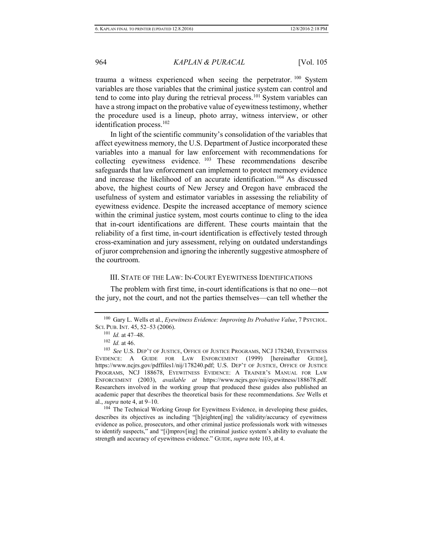trauma a witness experienced when seeing the perpetrator. <sup>100</sup> System variables are those variables that the criminal justice system can control and tend to come into play during the retrieval process.<sup>101</sup> System variables can have a strong impact on the probative value of eyewitness testimony, whether the procedure used is a lineup, photo array, witness interview, or other identification process.<sup>102</sup>

<span id="page-18-0"></span>In light of the scientific community's consolidation of the variables that affect eyewitness memory, the U.S. Department of Justice incorporated these variables into a manual for law enforcement with recommendations for collecting eyewitness evidence. <sup>103</sup> These recommendations describe safeguards that law enforcement can implement to protect memory evidence and increase the likelihood of an accurate identification. <sup>104</sup> As discussed above, the highest courts of New Jersey and Oregon have embraced the usefulness of system and estimator variables in assessing the reliability of eyewitness evidence. Despite the increased acceptance of memory science within the criminal justice system, most courts continue to cling to the idea that in-court identifications are different. These courts maintain that the reliability of a first time, in-court identification is effectively tested through cross-examination and jury assessment, relying on outdated understandings of juror comprehension and ignoring the inherently suggestive atmosphere of the courtroom.

#### III. STATE OF THE LAW: IN-COURT EYEWITNESS IDENTIFICATIONS

The problem with first time, in-court identifications is that no one—not the jury, not the court, and not the parties themselves—can tell whether the

<sup>104</sup> The Technical Working Group for Eyewitness Evidence, in developing these guides, describes its objectives as including "[h]eighten[ing] the validity/accuracy of eyewitness evidence as police, prosecutors, and other criminal justice professionals work with witnesses to identify suspects," and "[i]mprov[ing] the criminal justice system's ability to evaluate the strength and accuracy of eyewitness evidence." GUIDE, *supra* note [103,](#page-18-0) at 4.

<sup>100</sup> Gary L. Wells et al., *Eyewitness Evidence: Improving Its Probative Value*, 7 PSYCHOL. SCI. PUB. INT. 45, 52–53 (2006).

<sup>101</sup> *Id.* at 47–48.

 $102$  *Id.* at 46.

<sup>103</sup> *See* U.S. DEP'T OF JUSTICE, OFFICE OF JUSTICE PROGRAMS, NCJ 178240, EYEWITNESS EVIDENCE: A GUIDE FOR LAW ENFORCEMENT (1999) [hereinafter GUIDE], https://www.ncjrs.gov/pdffiles1/nij/178240.pdf; U.S. DEP'T OF JUSTICE, OFFICE OF JUSTICE PROGRAMS, NCJ 188678, EYEWITNESS EVIDENCE: A TRAINER'S MANUAL FOR LAW ENFORCEMENT (2003), *available at* https://www.ncjrs.gov/nij/eyewitness/188678.pdf. Researchers involved in the working group that produced these guides also published an academic paper that describes the theoretical basis for these recommendations. *See* Wells et al., *supra* note [4,](#page-3-1) at 9–10.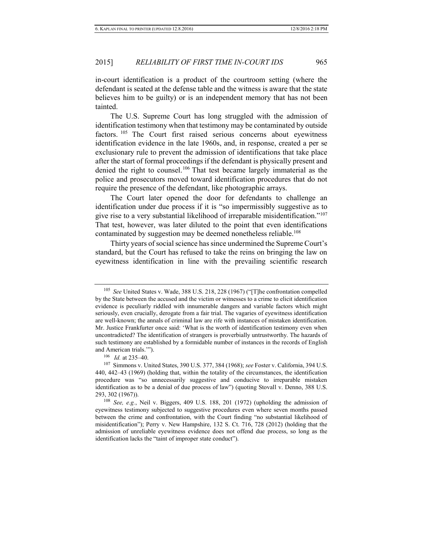in-court identification is a product of the courtroom setting (where the defendant is seated at the defense table and the witness is aware that the state believes him to be guilty) or is an independent memory that has not been tainted.

The U.S. Supreme Court has long struggled with the admission of identification testimony when that testimony may be contaminated by outside factors. <sup>105</sup> The Court first raised serious concerns about eyewitness identification evidence in the late 1960s, and, in response, created a per se exclusionary rule to prevent the admission of identifications that take place after the start of formal proceedings if the defendant is physically present and denied the right to counsel.<sup>106</sup> That test became largely immaterial as the police and prosecutors moved toward identification procedures that do not require the presence of the defendant, like photographic arrays.

The Court later opened the door for defendants to challenge an identification under due process if it is "so impermissibly suggestive as to give rise to a very substantial likelihood of irreparable misidentification."<sup>107</sup> That test, however, was later diluted to the point that even identifications contaminated by suggestion may be deemed nonetheless reliable.<sup>108</sup>

Thirty years of social science has since undermined the Supreme Court's standard, but the Court has refused to take the reins on bringing the law on eyewitness identification in line with the prevailing scientific research

<sup>105</sup> *See* United States v. Wade, 388 U.S. 218, 228 (1967) ("[T]he confrontation compelled by the State between the accused and the victim or witnesses to a crime to elicit identification evidence is peculiarly riddled with innumerable dangers and variable factors which might seriously, even crucially, derogate from a fair trial. The vagaries of eyewitness identification are well-known; the annals of criminal law are rife with instances of mistaken identification. Mr. Justice Frankfurter once said: 'What is the worth of identification testimony even when uncontradicted? The identification of strangers is proverbially untrustworthy. The hazards of such testimony are established by a formidable number of instances in the records of English and American trials.'").

<sup>106</sup> *Id.* at 235–40.

<sup>107</sup> Simmons v. United States, 390 U.S. 377, 384 (1968); *see* Foster v. California, 394 U.S. 440, 442–43 (1969) (holding that, within the totality of the circumstances, the identification procedure was "so unnecessarily suggestive and conducive to irreparable mistaken identification as to be a denial of due process of law") (quoting Stovall v. Denno, 388 U.S. 293, 302 (1967)).

<sup>108</sup> *See, e.g.*, Neil v. Biggers, 409 U.S. 188, 201 (1972) (upholding the admission of eyewitness testimony subjected to suggestive procedures even where seven months passed between the crime and confrontation, with the Court finding "no substantial likelihood of misidentification"); Perry v. New Hampshire, 132 S. Ct. 716, 728 (2012) (holding that the admission of unreliable eyewitness evidence does not offend due process, so long as the identification lacks the "taint of improper state conduct").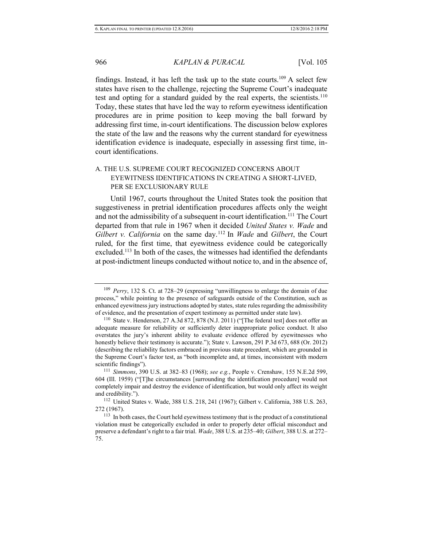findings. Instead, it has left the task up to the state courts.<sup>109</sup> A select few states have risen to the challenge, rejecting the Supreme Court's inadequate test and opting for a standard guided by the real experts, the scientists.<sup>110</sup> Today, these states that have led the way to reform eyewitness identification procedures are in prime position to keep moving the ball forward by addressing first time, in-court identifications. The discussion below explores the state of the law and the reasons why the current standard for eyewitness identification evidence is inadequate, especially in assessing first time, incourt identifications.

# A. THE U.S. SUPREME COURT RECOGNIZED CONCERNS ABOUT EYEWITNESS IDENTIFICATIONS IN CREATING A SHORT-LIVED, PER SE EXCLUSIONARY RULE

Until 1967, courts throughout the United States took the position that suggestiveness in pretrial identification procedures affects only the weight and not the admissibility of a subsequent in-court identification.<sup>111</sup> The Court departed from that rule in 1967 when it decided *United States v. Wade* and *Gilbert v. California* on the same day.<sup>112</sup> In *Wade* and *Gilbert*, the Court ruled, for the first time, that eyewitness evidence could be categorically excluded.<sup>113</sup> In both of the cases, the witnesses had identified the defendants at post-indictment lineups conducted without notice to, and in the absence of,

<sup>109</sup> *Perry*, 132 S. Ct. at 728–29 (expressing "unwillingness to enlarge the domain of due process," while pointing to the presence of safeguards outside of the Constitution, such as enhanced eyewitness jury instructions adopted by states, state rules regarding the admissibility of evidence, and the presentation of expert testimony as permitted under state law).

<sup>&</sup>lt;sup>110</sup> State v. Henderson, 27 A.3d 872, 878 (N.J. 2011) ("The federal test] does not offer an adequate measure for reliability or sufficiently deter inappropriate police conduct. It also overstates the jury's inherent ability to evaluate evidence offered by eyewitnesses who honestly believe their testimony is accurate."); State v. Lawson, 291 P.3d 673, 688 (Or. 2012) (describing the reliability factors embraced in previous state precedent, which are grounded in the Supreme Court's factor test, as "both incomplete and, at times, inconsistent with modern scientific findings").

<sup>111</sup> *Simmons*, 390 U.S. at 382–83 (1968); *see e.g.*, People v. Crenshaw, 155 N.E.2d 599, 604 (Ill. 1959) ("[T]he circumstances [surrounding the identification procedure] would not completely impair and destroy the evidence of identification, but would only affect its weight and credibility.").

<sup>112</sup> United States v. Wade, 388 U.S. 218, 241 (1967); Gilbert v. California, 388 U.S. 263, 272 (1967).

<sup>&</sup>lt;sup>113</sup> In both cases, the Court held eyewitness testimony that is the product of a constitutional violation must be categorically excluded in order to properly deter official misconduct and preserve a defendant's right to a fair trial. *Wade*, 388 U.S. at 235–40; *Gilbert*, 388 U.S. at 272– 75.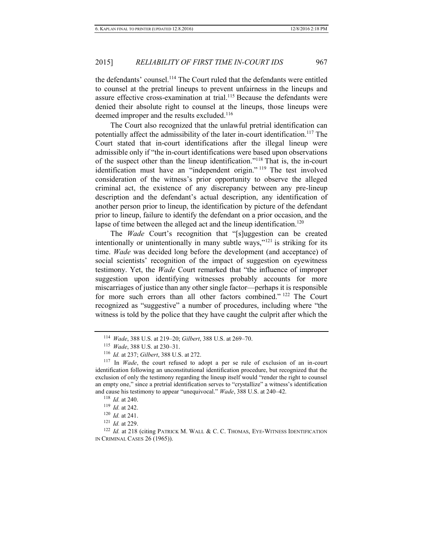the defendants' counsel.<sup>114</sup> The Court ruled that the defendants were entitled to counsel at the pretrial lineups to prevent unfairness in the lineups and assure effective cross-examination at trial.<sup>115</sup> Because the defendants were denied their absolute right to counsel at the lineups, those lineups were deemed improper and the results excluded.<sup>116</sup>

The Court also recognized that the unlawful pretrial identification can potentially affect the admissibility of the later in-court identification.<sup>117</sup> The Court stated that in-court identifications after the illegal lineup were admissible only if "the in-court identifications were based upon observations of the suspect other than the lineup identification."<sup>118</sup> That is, the in-court identification must have an "independent origin." <sup>119</sup> The test involved consideration of the witness's prior opportunity to observe the alleged criminal act, the existence of any discrepancy between any pre-lineup description and the defendant's actual description, any identification of another person prior to lineup, the identification by picture of the defendant prior to lineup, failure to identify the defendant on a prior occasion, and the lapse of time between the alleged act and the lineup identification.<sup>120</sup>

The *Wade* Court's recognition that "[s]uggestion can be created intentionally or unintentionally in many subtle ways," $^{121}$  is striking for its time. *Wade* was decided long before the development (and acceptance) of social scientists' recognition of the impact of suggestion on eyewitness testimony. Yet, the *Wade* Court remarked that "the influence of improper suggestion upon identifying witnesses probably accounts for more miscarriages of justice than any other single factor—perhaps it is responsible for more such errors than all other factors combined." <sup>122</sup> The Court recognized as "suggestive" a number of procedures, including where "the witness is told by the police that they have caught the culprit after which the

<sup>114</sup> *Wade*, 388 U.S. at 219–20; *Gilbert*, 388 U.S. at 269–70.

<sup>115</sup> *Wade*, 388 U.S. at 230–31.

<sup>116</sup> *Id.* at 237; *Gilbert*, 388 U.S. at 272.

<sup>117</sup> In *Wade*, the court refused to adopt a per se rule of exclusion of an in-court identification following an unconstitutional identification procedure, but recognized that the exclusion of only the testimony regarding the lineup itself would "render the right to counsel an empty one," since a pretrial identification serves to "crystallize" a witness's identification and cause his testimony to appear "unequivocal." *Wade*, 388 U.S. at 240–42.

<sup>118</sup> *Id.* at 240.

<sup>119</sup> *Id.* at 242.

<sup>120</sup> *Id.* at 241.

<sup>121</sup> *Id.* at 229.

<sup>&</sup>lt;sup>122</sup> *Id.* at 218 (citing PATRICK M. WALL & C. C. THOMAS, EYE-WITNESS IDENTIFICATION IN CRIMINAL CASES 26 (1965)).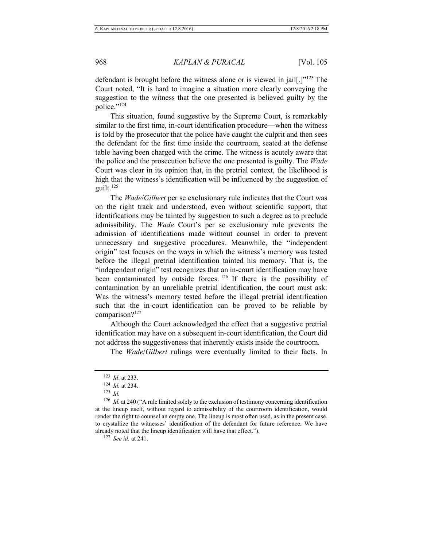defendant is brought before the witness alone or is viewed in jail[.]"<sup>123</sup> The Court noted, "It is hard to imagine a situation more clearly conveying the suggestion to the witness that the one presented is believed guilty by the police."<sup>124</sup>

This situation, found suggestive by the Supreme Court, is remarkably similar to the first time, in-court identification procedure—when the witness is told by the prosecutor that the police have caught the culprit and then sees the defendant for the first time inside the courtroom, seated at the defense table having been charged with the crime. The witness is acutely aware that the police and the prosecution believe the one presented is guilty. The *Wade* Court was clear in its opinion that, in the pretrial context, the likelihood is high that the witness's identification will be influenced by the suggestion of guilt. $125$ 

The *Wade*/*Gilbert* per se exclusionary rule indicates that the Court was on the right track and understood, even without scientific support, that identifications may be tainted by suggestion to such a degree as to preclude admissibility. The *Wade* Court's per se exclusionary rule prevents the admission of identifications made without counsel in order to prevent unnecessary and suggestive procedures. Meanwhile, the "independent origin" test focuses on the ways in which the witness's memory was tested before the illegal pretrial identification tainted his memory. That is, the "independent origin" test recognizes that an in-court identification may have been contaminated by outside forces.<sup>126</sup> If there is the possibility of contamination by an unreliable pretrial identification, the court must ask: Was the witness's memory tested before the illegal pretrial identification such that the in-court identification can be proved to be reliable by comparison?<sup>127</sup>

Although the Court acknowledged the effect that a suggestive pretrial identification may have on a subsequent in-court identification, the Court did not address the suggestiveness that inherently exists inside the courtroom.

The *Wade*/*Gilbert* rulings were eventually limited to their facts. In

<sup>123</sup> *Id*. at 233.

<sup>124</sup> *Id.* at 234.

 $125$  *Id.* 

<sup>&</sup>lt;sup>126</sup> *Id.* at 240 ("A rule limited solely to the exclusion of testimony concerning identification at the lineup itself, without regard to admissibility of the courtroom identification, would render the right to counsel an empty one. The lineup is most often used, as in the present case, to crystallize the witnesses' identification of the defendant for future reference. We have already noted that the lineup identification will have that effect.").

<sup>127</sup> *See id.* at 241.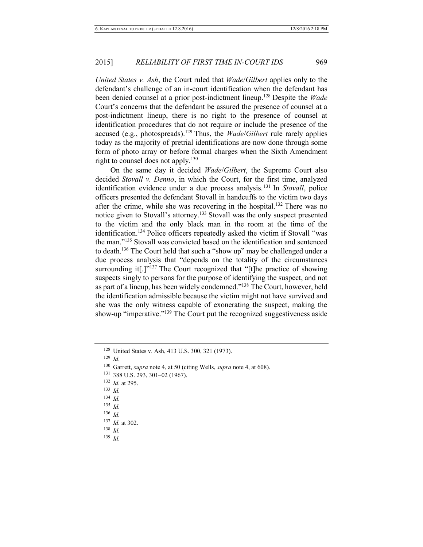*United States v. Ash*, the Court ruled that *Wade*/*Gilbert* applies only to the defendant's challenge of an in-court identification when the defendant has been denied counsel at a prior post-indictment lineup.<sup>128</sup> Despite the *Wade* Court's concerns that the defendant be assured the presence of counsel at a post-indictment lineup, there is no right to the presence of counsel at identification procedures that do not require or include the presence of the accused (e.g., photospreads).<sup>129</sup> Thus, the *Wade*/*Gilbert* rule rarely applies today as the majority of pretrial identifications are now done through some form of photo array or before formal charges when the Sixth Amendment right to counsel does not apply.<sup>130</sup>

On the same day it decided *Wade*/*Gilbert*, the Supreme Court also decided *Stovall v. Denno*, in which the Court, for the first time, analyzed identification evidence under a due process analysis. <sup>131</sup> In *Stovall*, police officers presented the defendant Stovall in handcuffs to the victim two days after the crime, while she was recovering in the hospital.<sup>132</sup> There was no notice given to Stovall's attorney.<sup>133</sup> Stovall was the only suspect presented to the victim and the only black man in the room at the time of the identification.<sup>134</sup> Police officers repeatedly asked the victim if Stovall "was the man."<sup>135</sup> Stovall was convicted based on the identification and sentenced to death.<sup>136</sup> The Court held that such a "show up" may be challenged under a due process analysis that "depends on the totality of the circumstances surrounding it<sup>[1]</sup><sup>137</sup> The Court recognized that "[t]he practice of showing suspects singly to persons for the purpose of identifying the suspect, and not as part of a lineup, has been widely condemned."<sup>138</sup> The Court, however, held the identification admissible because the victim might not have survived and she was the only witness capable of exonerating the suspect, making the show-up "imperative."<sup>139</sup> The Court put the recognized suggestiveness aside

<sup>129</sup> *Id.*

<sup>135</sup> *Id.* 

<sup>128</sup> United States v. Ash, 413 U.S. 300, 321 (1973).

<sup>130</sup> Garrett, *supra* not[e 4,](#page-3-1) at 50 (citing Wells, *supra* note [4,](#page-3-1) at 608).

<sup>131</sup> 388 U.S. 293, 301–02 (1967).

<sup>132</sup> *Id.* at 295.

<sup>133</sup> *Id.* 

<sup>134</sup> *Id.*

<sup>136</sup> *Id.* 

<sup>137</sup> *Id.* at 302.

<sup>138</sup> *Id.*

<sup>139</sup> *Id.*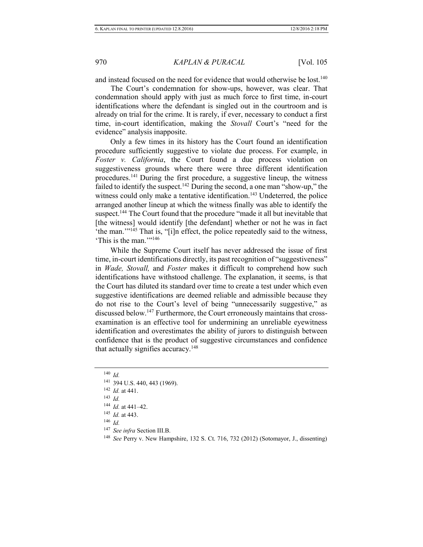and instead focused on the need for evidence that would otherwise be lost.<sup>140</sup>

The Court's condemnation for show-ups, however, was clear. That condemnation should apply with just as much force to first time, in-court identifications where the defendant is singled out in the courtroom and is already on trial for the crime. It is rarely, if ever, necessary to conduct a first time, in-court identification, making the *Stovall* Court's "need for the evidence" analysis inapposite.

Only a few times in its history has the Court found an identification procedure sufficiently suggestive to violate due process. For example, in *Foster v. California*, the Court found a due process violation on suggestiveness grounds where there were three different identification procedures.<sup>141</sup> During the first procedure, a suggestive lineup, the witness failed to identify the suspect.<sup>142</sup> During the second, a one man "show-up," the witness could only make a tentative identification.<sup>143</sup> Undeterred, the police arranged another lineup at which the witness finally was able to identify the suspect.<sup>144</sup> The Court found that the procedure "made it all but inevitable that [the witness] would identify [the defendant] whether or not he was in fact 'the man.'"<sup>145</sup> That is, "[i]n effect, the police repeatedly said to the witness, 'This is the man.'"<sup>146</sup>

While the Supreme Court itself has never addressed the issue of first time, in-court identifications directly, its past recognition of "suggestiveness" in *Wade, Stovall,* and *Foster* makes it difficult to comprehend how such identifications have withstood challenge. The explanation, it seems, is that the Court has diluted its standard over time to create a test under which even suggestive identifications are deemed reliable and admissible because they do not rise to the Court's level of being "unnecessarily suggestive," as discussed below.<sup>147</sup> Furthermore, the Court erroneously maintains that crossexamination is an effective tool for undermining an unreliable eyewitness identification and overestimates the ability of jurors to distinguish between confidence that is the product of suggestive circumstances and confidence that actually signifies accuracy.<sup>148</sup>

 $140$  *Id.* 

<sup>146</sup> *Id.* 

- <sup>147</sup> *See infra* Section III.B.
- <sup>148</sup> *See* Perry v. New Hampshire, 132 S. Ct. 716, 732 (2012) (Sotomayor, J., dissenting)

<sup>141</sup> 394 U.S. 440, 443 (1969).

<sup>142</sup> *Id.* at 441.

<sup>143</sup> *Id.* 

<sup>144</sup> *Id.* at 441–42.

<sup>145</sup> *Id.* at 443.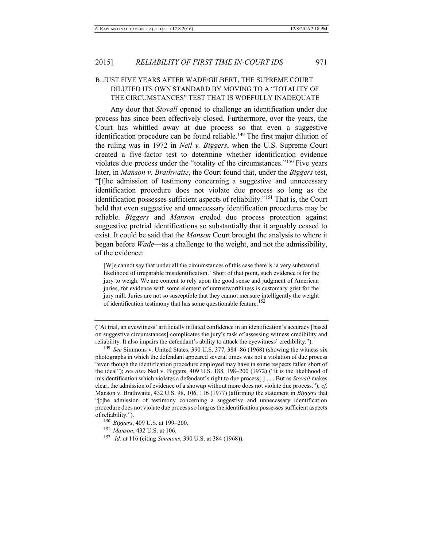# B. JUST FIVE YEARS AFTER WADE/GILBERT, THE SUPREME COURT DILUTED ITS OWN STANDARD BY MOVING TO A "TOTALITY OF THE CIRCUMSTANCES" TEST THAT IS WOEFULLY INADEQUATE

Any door that *Stovall* opened to challenge an identification under due process has since been effectively closed. Furthermore, over the years, the Court has whittled away at due process so that even a suggestive identification procedure can be found reliable.<sup>149</sup> The first major dilution of the ruling was in 1972 in *Neil v. Biggers*, when the U.S. Supreme Court created a five-factor test to determine whether identification evidence violates due process under the "totality of the circumstances."<sup>150</sup> Five years later, in *Manson v. Brathwaite*, the Court found that, under the *Biggers* test, "[t]he admission of testimony concerning a suggestive and unnecessary identification procedure does not violate due process so long as the identification possesses sufficient aspects of reliability."<sup>151</sup> That is, the Court held that even suggestive and unnecessary identification procedures may be reliable. *Biggers* and *Manson* eroded due process protection against suggestive pretrial identifications so substantially that it arguably ceased to exist. It could be said that the *Manson* Court brought the analysis to where it began before *Wade*—as a challenge to the weight, and not the admissibility, of the evidence:

[W]e cannot say that under all the circumstances of this case there is 'a very substantial likelihood of irreparable misidentification.' Short of that point, such evidence is for the jury to weigh. We are content to rely upon the good sense and judgment of American juries, for evidence with some element of untrustworthiness is customary grist for the jury mill. Juries are not so susceptible that they cannot measure intelligently the weight of identification testimony that has some questionable feature.<sup>152</sup>

- <sup>150</sup> *Biggers*, 409 U.S. at 199–200.
- <sup>151</sup> *Manson*, 432 U.S. at 106.
- <sup>152</sup> *Id.* at 116 (citing *Simmons*, 390 U.S. at 384 (1968)).

<sup>(&</sup>quot;At trial, an eyewitness' artificially inflated confidence in an identification's accuracy [based on suggestive circumstances] complicates the jury's task of assessing witness credibility and reliability. It also impairs the defendant's ability to attack the eyewitness' credibility.").

<sup>149</sup> *See* Simmons v. United States, 390 U.S. 377, 384–86 (1968) (showing the witness six photographs in which the defendant appeared several times was not a violation of due process "even though the identification procedure employed may have in some respects fallen short of the ideal"); *see also* Neil v. Biggers, 409 U.S. 188, 198–200 (1972) ("It is the likelihood of misidentification which violates a defendant's right to due process[.] . . . But as *Stovall* makes clear, the admission of evidence of a showup without more does not violate due process."); *cf.*  Manson v. Brathwaite, 432 U.S. 98, 106, 116 (1977) (affirming the statement in *Biggers* that "[t]he admission of testimony concerning a suggestive and unnecessary identification procedure does not violate due process so long as the identification possesses sufficient aspects of reliability.").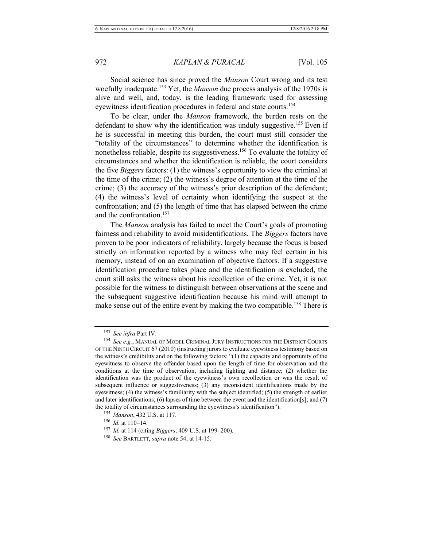Social science has since proved the *Manson* Court wrong and its test woefully inadequate.<sup>153</sup> Yet, the *Manson* due process analysis of the 1970s is alive and well, and, today, is the leading framework used for assessing eyewitness identification procedures in federal and state courts.<sup>154</sup>

To be clear, under the *Manson* framework, the burden rests on the defendant to show why the identification was unduly suggestive.<sup>155</sup> Even if he is successful in meeting this burden, the court must still consider the "totality of the circumstances" to determine whether the identification is nonetheless reliable, despite its suggestiveness.<sup>156</sup> To evaluate the totality of circumstances and whether the identification is reliable, the court considers the five *Biggers* factors: (1) the witness's opportunity to view the criminal at the time of the crime; (2) the witness's degree of attention at the time of the crime; (3) the accuracy of the witness's prior description of the defendant; (4) the witness's level of certainty when identifying the suspect at the confrontation; and (5) the length of time that has elapsed between the crime and the confrontation.<sup>157</sup>

The *Manson* analysis has failed to meet the Court's goals of promoting fairness and reliability to avoid misidentifications. The *Biggers* factors have proven to be poor indicators of reliability, largely because the focus is based strictly on information reported by a witness who may feel certain in his memory, instead of on an examination of objective factors. If a suggestive identification procedure takes place and the identification is excluded, the court still asks the witness about his recollection of the crime. Yet, it is not possible for the witness to distinguish between observations at the scene and the subsequent suggestive identification because his mind will attempt to make sense out of the entire event by making the two compatible.<sup>158</sup> There is

<sup>156</sup> *Id.* at 110–14.

<sup>153</sup> *See infra* Part IV.

<sup>154</sup> *See e.g.*, MANUAL OF MODEL CRIMINAL JURY INSTRUCTIONS FOR THE DISTRICT COURTS OF THE NINTH CIRCUIT 67 (2010) (instructing jurors to evaluate eyewitness testimony based on the witness's credibility and on the following factors: "(1) the capacity and opportunity of the eyewitness to observe the offender based upon the length of time for observation and the conditions at the time of observation, including lighting and distance; (2) whether the identification was the product of the eyewitness's own recollection or was the result of subsequent influence or suggestiveness; (3) any inconsistent identifications made by the eyewitness; (4) the witness's familiarity with the subject identified; (5) the strength of earlier and later identifications; (6) lapses of time between the event and the identification[s]; and (7) the totality of circumstances surrounding the eyewitness's identification").

<sup>155</sup> *Manson*, 432 U.S. at 117.

<sup>157</sup> *Id.* at 114 (citing *Biggers*, 409 U.S. at 199–200).

<sup>158</sup> *See* BARTLETT, *supra* not[e 54,](#page-11-2) at 14-15.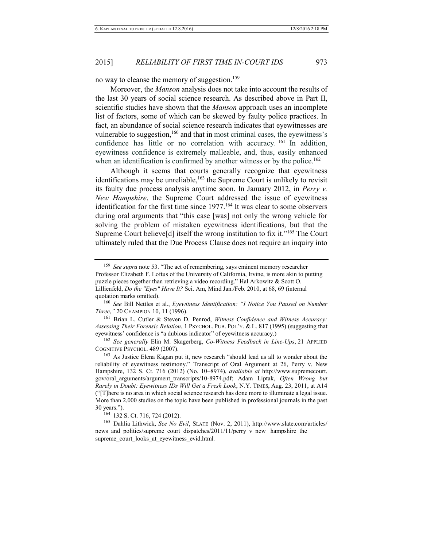no way to cleanse the memory of suggestion.<sup>159</sup>

Moreover, the *Manson* analysis does not take into account the results of the last 30 years of social science research. As described above in Part II, scientific studies have shown that the *Manson* approach uses an incomplete list of factors, some of which can be skewed by faulty police practices. In fact, an abundance of social science research indicates that eyewitnesses are vulnerable to suggestion,<sup>160</sup> and that in most criminal cases, the eyewitness's confidence has little or no correlation with accuracy. <sup>161</sup> In addition, eyewitness confidence is extremely malleable, and, thus, easily enhanced when an identification is confirmed by another witness or by the police.<sup>162</sup>

Although it seems that courts generally recognize that eyewitness identifications may be unreliable,<sup>163</sup> the Supreme Court is unlikely to revisit its faulty due process analysis anytime soon. In January 2012, in *Perry v. New Hampshire*, the Supreme Court addressed the issue of eyewitness identification for the first time since 1977.<sup>164</sup> It was clear to some observers during oral arguments that "this case [was] not only the wrong vehicle for solving the problem of mistaken eyewitness identifications, but that the Supreme Court believe[d] itself the wrong institution to fix it."<sup>165</sup> The Court ultimately ruled that the Due Process Clause does not require an inquiry into

<sup>161</sup> Brian L. Cutler & Steven D. Penrod, *Witness Confidence and Witness Accuracy: Assessing Their Forensic Relation*, 1 PSYCHOL. PUB. POL'Y. & L. 817 (1995) (suggesting that eyewitness' confidence is "a dubious indicator" of eyewitness accuracy.)

<sup>162</sup> *See generally* Elin M. Skagerberg, *Co-Witness Feedback in Line-Ups*, 21 APPLIED COGNITIVE PSYCHOL. 489 (2007).

<sup>163</sup> As Justice Elena Kagan put it, new research "should lead us all to wonder about the reliability of eyewitness testimony." Transcript of Oral Argument at 26, Perry v. New Hampshire, 132 S. Ct. 716 (2012) (No. 10–8974), *available at* http://www.supremecourt. gov/oral\_arguments/argument\_transcripts/10-8974.pdf; Adam Liptak, *Often Wrong but Rarely in Doubt: Eyewitness IDs Will Get a Fresh Look*, N.Y. TIMES, Aug. 23, 2011, at A14 ("[T]here is no area in which social science research has done more to illuminate a legal issue. More than 2,000 studies on the topic have been published in professional journals in the past 30 years.").

<sup>164</sup> 132 S. Ct. 716, 724 (2012).

165 Dahlia Lithwick, *See No Evil*, SLATE (Nov. 2, 2011), http://www.slate.com/articles/ news and politics/supreme\_court\_dispatches/2011/11/perry\_v\_new\_ hampshire\_the supreme\_court\_looks\_at\_eyewitness\_evid.html.

<sup>159</sup> *See supra* note [53.](#page-11-3) "The act of remembering, says eminent memory researcher Professor Elizabeth F. Loftus of the University of California, Irvine, is more akin to putting puzzle pieces together than retrieving a video recording." Hal Arkowitz & Scott O. Lillienfeld, *Do the "Eyes" Have It?* Sci. Am, Mind Jan./Feb. 2010, at 68, 69 (internal quotation marks omitted).

<sup>160</sup> *See* Bill Nettles et al., *Eyewitness Identification: "I Notice You Paused on Number Three*,*"* 20 CHAMPION 10, 11 (1996).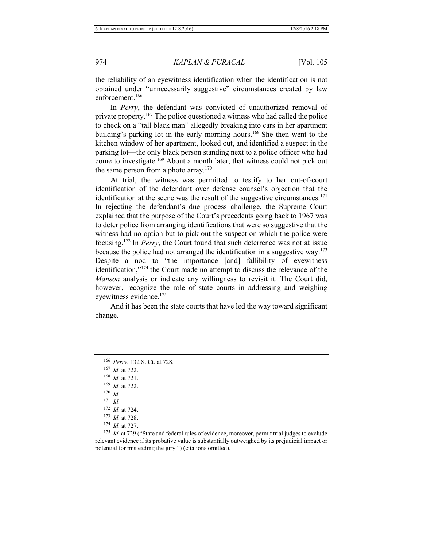the reliability of an eyewitness identification when the identification is not obtained under "unnecessarily suggestive" circumstances created by law enforcement.<sup>166</sup>

In *Perry*, the defendant was convicted of unauthorized removal of private property.<sup>167</sup> The police questioned a witness who had called the police to check on a "tall black man" allegedly breaking into cars in her apartment building's parking lot in the early morning hours.<sup>168</sup> She then went to the kitchen window of her apartment, looked out, and identified a suspect in the parking lot—the only black person standing next to a police officer who had come to investigate.<sup>169</sup> About a month later, that witness could not pick out the same person from a photo array.<sup>170</sup>

 At trial, the witness was permitted to testify to her out-of-court identification of the defendant over defense counsel's objection that the identification at the scene was the result of the suggestive circumstances.<sup>171</sup> In rejecting the defendant's due process challenge, the Supreme Court explained that the purpose of the Court's precedents going back to 1967 was to deter police from arranging identifications that were so suggestive that the witness had no option but to pick out the suspect on which the police were focusing.<sup>172</sup> In *Perry*, the Court found that such deterrence was not at issue because the police had not arranged the identification in a suggestive way.<sup>173</sup> Despite a nod to "the importance [and] fallibility of eyewitness identification,"<sup>174</sup> the Court made no attempt to discuss the relevance of the *Manson* analysis or indicate any willingness to revisit it. The Court did, however, recognize the role of state courts in addressing and weighing eyewitness evidence.<sup>175</sup>

 And it has been the state courts that have led the way toward significant change.

<sup>175</sup> *Id.* at 729 ("State and federal rules of evidence, moreover, permit trial judges to exclude relevant evidence if its probative value is substantially outweighed by its prejudicial impact or potential for misleading the jury.") (citations omitted).

<sup>166</sup> *Perry*, 132 S. Ct. at 728.

<sup>167</sup> *Id.* at 722.

<sup>168</sup> *Id.* at 721.

<sup>169</sup> *Id.* at 722.

 $170$  *Id.* 

<sup>171</sup> *Id.*

<sup>172</sup> *Id.* at 724.

<sup>173</sup> *Id.* at 728.

<sup>174</sup> *Id.* at 727.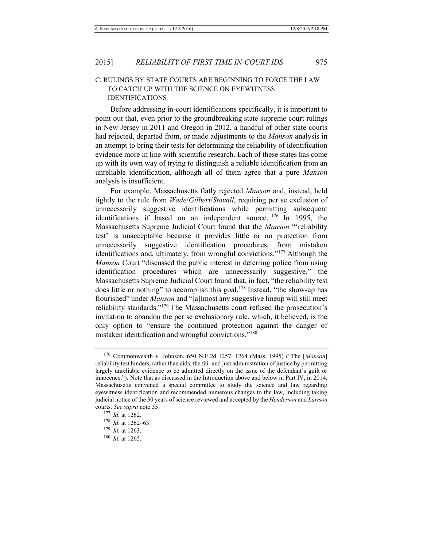### C. RULINGS BY STATE COURTS ARE BEGINNING TO FORCE THE LAW TO CATCH UP WITH THE SCIENCE ON EYEWITNESS IDENTIFICATIONS

Before addressing in-court identifications specifically, it is important to point out that, even prior to the groundbreaking state supreme court rulings in New Jersey in 2011 and Oregon in 2012, a handful of other state courts had rejected, departed from, or made adjustments to the *Manson* analysis in an attempt to bring their tests for determining the reliability of identification evidence more in line with scientific research. Each of these states has come up with its own way of trying to distinguish a reliable identification from an unreliable identification, although all of them agree that a pure *Manson* analysis is insufficient.

For example, Massachusetts flatly rejected *Manson* and, instead, held tightly to the rule from *Wade*/*Gilbert*/*Stovall*, requiring per se exclusion of unnecessarily suggestive identifications while permitting subsequent identifications if based on an independent source. <sup>176</sup> In 1995, the Massachusetts Supreme Judicial Court found that the *Manson* "'reliability test' is unacceptable because it provides little or no protection from unnecessarily suggestive identification procedures, from mistaken identifications and, ultimately, from wrongful convictions."<sup>177</sup> Although the *Manson* Court "discussed the public interest in deterring police from using identification procedures which are unnecessarily suggestive," the Massachusetts Supreme Judicial Court found that, in fact, "the reliability test does little or nothing" to accomplish this goal.<sup>178</sup> Instead, "the show-up has flourished" under *Manson* and "[a]lmost any suggestive lineup will still meet reliability standards."<sup>179</sup> The Massachusetts court refused the prosecution's invitation to abandon the per se exclusionary rule, which, it believed, is the only option to "ensure the continued protection against the danger of mistaken identification and wrongful convictions."<sup>180</sup>

<sup>176</sup> Commonwealth v. Johnson, 650 N.E.2d 1257, 1264 (Mass. 1995) ("The [*Manson*] reliability test hinders, rather than aids, the fair and just administration of justice by permitting largely unreliable evidence to be admitted directly on the issue of the defendant's guilt or innocence."). Note that as discussed in the Introduction above and below in Part IV, in 2014, Massachusetts convened a special committee to study the science and law regarding eyewitness identification and recommended numerous changes to the law, including taking judicial notice of the 30 years of science reviewed and accepted by the *Henderson* and *Lawson* courts. *See supra* not[e 35.](#page-7-0)

<sup>177</sup> *Id.* at 1262.

<sup>178</sup> *Id.* at 1262–63.

<sup>179</sup> *Id.* at 1263.

<sup>180</sup> *Id.* at 1265.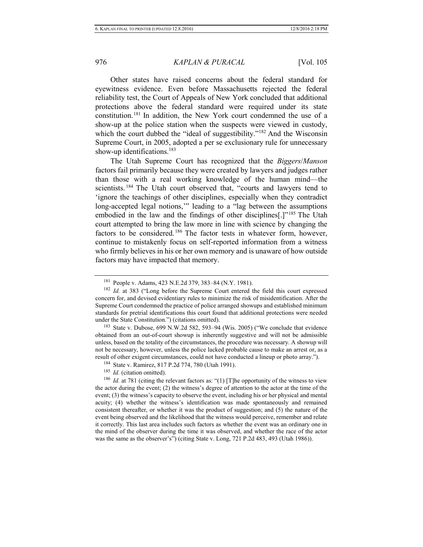Other states have raised concerns about the federal standard for eyewitness evidence. Even before Massachusetts rejected the federal reliability test, the Court of Appeals of New York concluded that additional protections above the federal standard were required under its state constitution.<sup>181</sup> In addition, the New York court condemned the use of a show-up at the police station when the suspects were viewed in custody, which the court dubbed the "ideal of suggestibility."<sup>182</sup> And the Wisconsin Supreme Court, in 2005, adopted a per se exclusionary rule for unnecessary show-up identifications.<sup>183</sup>

The Utah Supreme Court has recognized that the *Biggers*/*Manson* factors fail primarily because they were created by lawyers and judges rather than those with a real working knowledge of the human mind—the scientists. <sup>184</sup> The Utah court observed that, "courts and lawyers tend to 'ignore the teachings of other disciplines, especially when they contradict long-accepted legal notions,'" leading to a "lag between the assumptions embodied in the law and the findings of other disciplines[.]"<sup>185</sup> The Utah court attempted to bring the law more in line with science by changing the factors to be considered. <sup>186</sup> The factor tests in whatever form, however, continue to mistakenly focus on self-reported information from a witness who firmly believes in his or her own memory and is unaware of how outside factors may have impacted that memory.

<sup>183</sup> State v. Dubose, 699 N.W.2d 582, 593–94 (Wis. 2005) ("We conclude that evidence obtained from an out-of-court showup is inherently suggestive and will not be admissible unless, based on the totality of the circumstances, the procedure was necessary. A showup will not be necessary, however, unless the police lacked probable cause to make an arrest or, as a result of other exigent circumstances, could not have conducted a lineup or photo array.").

<sup>181</sup> People v. Adams, 423 N.E.2d 379, 383–84 (N.Y. 1981).

<sup>182</sup> *Id.* at 383 ("Long before the Supreme Court entered the field this court expressed concern for, and devised evidentiary rules to minimize the risk of misidentification. After the Supreme Court condemned the practice of police arranged showups and established minimum standards for pretrial identifications this court found that additional protections were needed under the State Constitution.") (citations omitted).

<sup>184</sup> State v. Ramirez, 817 P.2d 774, 780 (Utah 1991).

<sup>&</sup>lt;sup>185</sup> *Id.* (citation omitted).

<sup>&</sup>lt;sup>186</sup> *Id.* at 781 (citing the relevant factors as: "(1) [T] he opportunity of the witness to view the actor during the event; (2) the witness's degree of attention to the actor at the time of the event; (3) the witness's capacity to observe the event, including his or her physical and mental acuity; (4) whether the witness's identification was made spontaneously and remained consistent thereafter, or whether it was the product of suggestion; and (5) the nature of the event being observed and the likelihood that the witness would perceive, remember and relate it correctly. This last area includes such factors as whether the event was an ordinary one in the mind of the observer during the time it was observed, and whether the race of the actor was the same as the observer's") (citing State v. Long, 721 P.2d 483, 493 (Utah 1986)).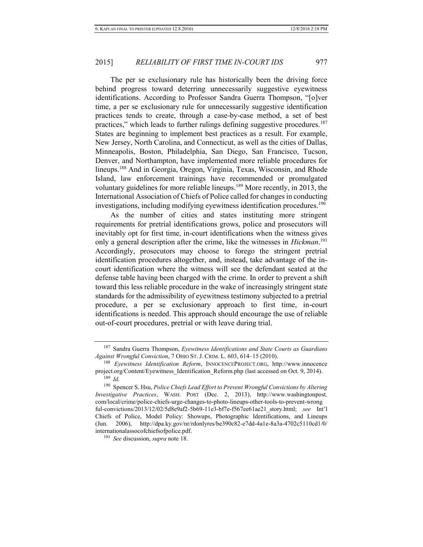The per se exclusionary rule has historically been the driving force behind progress toward deterring unnecessarily suggestive eyewitness identifications. According to Professor Sandra Guerra Thompson, "[o]ver time, a per se exclusionary rule for unnecessarily suggestive identification practices tends to create, through a case-by-case method, a set of best practices," which leads to further rulings defining suggestive procedures.<sup>187</sup> States are beginning to implement best practices as a result. For example, [New Jersey,](http://www.innocenceproject.org/news/LawViewstate5.php?state=nj) [North Carolina,](http://www.innocenceproject.org/news/LawViewstate5.php?state=nc) and [Connecticut,](http://www.innocenceproject.org/news/LawViewstate5.php?state=ct) as well as the cities of [Dallas,](http://www.innocenceproject.org/Content/Dallas_Police_to_Change_Identification_Procedures.php) Minneapolis, Boston, Philadelphia, San Diego, San Francisco, Tucson, Denver, and Northampton, have implemented more reliable procedures for lineups.<sup>188</sup> And in [Georgia,](http://www.innocenceproject.org/news/LawViewstate5.php?state=ga) Oregon, [Virginia,](http://www.innocenceproject.org/news/LawViewstate5.php?state=va) [Texas,](http://www.innocenceproject.org/news/LawViewstate5.php?state=tx) [Wisconsin,](http://www.innocenceproject.org/news/LawViewstate5.php?state=wi) and [Rhode](http://www.innocenceproject.org/news/LawViewstate5.php?state=ri)  [Island,](http://www.innocenceproject.org/news/LawViewstate5.php?state=ri) law enforcement trainings have recommended or promulgated voluntary guidelines for more reliable lineups.<sup>189</sup> More recently, in 2013, the International Association of Chiefs of Police called for changes in conducting investigations, including modifying eyewitness identification procedures.<sup>190</sup>

As the number of cities and states instituting more stringent requirements for pretrial identifications grows, police and prosecutors will inevitably opt for first time, in-court identifications when the witness gives only a general description after the crime, like the witnesses in *Hickman*. 191 Accordingly, prosecutors may choose to forego the stringent pretrial identification procedures altogether, and, instead, take advantage of the incourt identification where the witness will see the defendant seated at the defense table having been charged with the crime. In order to prevent a shift toward this less reliable procedure in the wake of increasingly stringent state standards for the admissibility of eyewitness testimony subjected to a pretrial procedure, a per se exclusionary approach to first time, in-court identifications is needed. This approach should encourage the use of reliable out-of-court procedures, pretrial or with leave during trial.

<sup>187</sup> Sandra Guerra Thompson, *Eyewitness Identifications and State Courts as Guardians Against Wrongful Conviction*, 7 OHIO ST. J. CRIM. L. 603, 614–15 (2010).

<sup>188</sup> *Eyewitness Identification Reform*, INNOCENCEPROJECT.ORG, [http://www.innocence](http://www.innocenceproject.org/Content/Eyewitness_Identification_Reform.php) [project.org/Content/Eyewitness\\_Identification\\_Reform.php \(](http://www.innocenceproject.org/Content/Eyewitness_Identification_Reform.php)last accessed on Oct. 9, 2014).  $189$  *Id.* 

<sup>190</sup> Spencer S. Hsu, *Police Chiefs Lead Effort to Prevent Wrongful Convictions by Altering Investigative Practices*, WASH. POST (Dec. 2, 2013), http://www.washingtonpost. com/local/crime/police-chiefs-urge-changes-to-photo-lineups-other-tools-to-prevent-wrong ful-convictions/2013/12/02/5d8e9af2-5b69-11e3-bf7e-f567ee61ae21\_story.html; *see* Int'l Chiefs of Police, Model Policy: Showups, Photographic Identifications, and Lineups (Jun. 2006), http://dpa.ky.gov/nr/rdonlyres/be390c82-e7dd-4a1e-8a3a-4702c5110cd1/0/ internationalassocofchiefsofpolice.pdf.

<sup>191</sup> *See* discussion, *supra* note [18.](#page-5-0)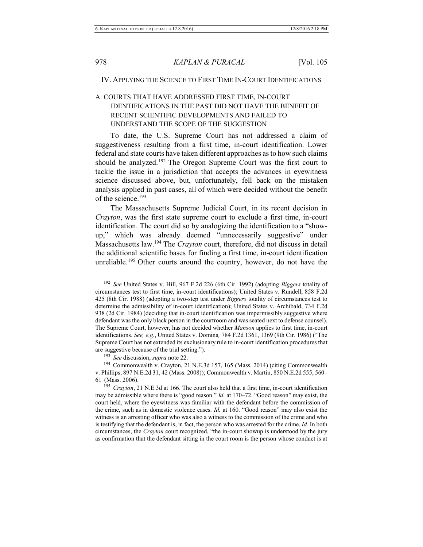#### IV. APPLYING THE SCIENCE TO FIRST TIME IN-COURT IDENTIFICATIONS

# A. COURTS THAT HAVE ADDRESSED FIRST TIME, IN-COURT IDENTIFICATIONS IN THE PAST DID NOT HAVE THE BENEFIT OF RECENT SCIENTIFIC DEVELOPMENTS AND FAILED TO UNDERSTAND THE SCOPE OF THE SUGGESTION

To date, the U.S. Supreme Court has not addressed a claim of suggestiveness resulting from a first time, in-court identification. Lower federal and state courts have taken different approaches as to how such claims should be analyzed.<sup>192</sup> The Oregon Supreme Court was the first court to tackle the issue in a jurisdiction that accepts the advances in eyewitness science discussed above, but, unfortunately, fell back on the mistaken analysis applied in past cases, all of which were decided without the benefit of the science.<sup>193</sup>

The Massachusetts Supreme Judicial Court, in its recent decision in *Crayton*, was the first state supreme court to exclude a first time, in-court identification. The court did so by analogizing the identification to a "showup," which was already deemed "unnecessarily suggestive" under Massachusetts law.<sup>194</sup> The *Crayton* court, therefore, did not discuss in detail the additional scientific bases for finding a first time, in-court identification unreliable.<sup>195</sup> Other courts around the country, however, do not have the

<sup>192</sup> *See* United States v. Hill, 967 F.2d 226 (6th Cir. 1992) (adopting *Biggers* totality of circumstances test to first time, in-court identifications); United States v. Rundell, 858 F.2d 425 (8th Cir. 1988) (adopting a two-step test under *Biggers* totality of circumstances test to determine the admissibility of in-court identification); United States v. Archibald, 734 F.2d 938 (2d Cir. 1984) (deciding that in-court identification was impermissibly suggestive where defendant was the only black person in the courtroom and was seated next to defense counsel). The Supreme Court, however, has not decided whether *Manson* applies to first time, in-court identifications. *See, e.g.*, United States v. Domina*,* 784 F.2d 1361, 1369 (9th Cir. 1986) ("The Supreme Court has not extended its exclusionary rule to in-court identification procedures that are suggestive because of the trial setting.").

<sup>193</sup> *See* discussion, *supra* note [22.](#page-5-1)

<sup>194</sup> Commonwealth v. Crayton, 21 N.E.3d 157, 165 (Mass. 2014) (citing Commonwealth v. Phillips, 897 N.E.2d 31, 42 (Mass. 2008)); Commonwealth v. Martin, 850 N.E.2d 555, 560– 61 (Mass. 2006).

<sup>195</sup> *Crayton*, 21 N.E.3d at 166. The court also held that a first time, in-court identification may be admissible where there is "good reason." *Id.* at 170–72. "Good reason" may exist, the court held, where the eyewitness was familiar with the defendant before the commission of the crime, such as in domestic violence cases. *Id.* at 160. "Good reason" may also exist the witness is an arresting officer who was also a witness to the commission of the crime and who is testifying that the defendant is, in fact, the person who was arrested for the crime. *Id.* In both circumstances, the *Crayton* court recognized, "the in-court showup is understood by the jury as confirmation that the defendant sitting in the court room is the person whose conduct is at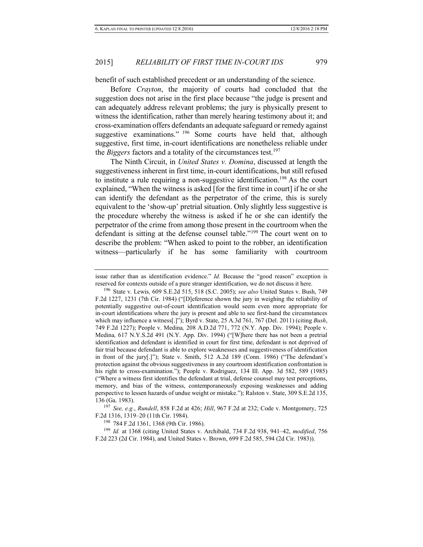benefit of such established precedent or an understanding of the science.

Before *Crayton*, the majority of courts had concluded that the suggestion does not arise in the first place because "the judge is present and can adequately address relevant problems; the jury is physically present to witness the identification, rather than merely hearing testimony about it; and cross-examination offers defendants an adequate safeguard or remedy against suggestive examinations." <sup>196</sup> Some courts have held that, although suggestive, first time, in-court identifications are nonetheless reliable under the *Biggers* factors and a totality of the circumstances test.<sup>197</sup>

The Ninth Circuit, in *United States v. Domina*, discussed at length the suggestiveness inherent in first time, in-court identifications, but still refused to institute a rule requiring a non-suggestive identification.<sup>198</sup> As the court explained, "When the witness is asked [for the first time in court] if he or she can identify the defendant as the perpetrator of the crime, this is surely equivalent to the 'show-up' pretrial situation. Only slightly less suggestive is the procedure whereby the witness is asked if he or she can identify the perpetrator of the crime from among those present in the courtroom when the defendant is sitting at the defense counsel table."<sup>199</sup> The court went on to describe the problem: "When asked to point to the robber, an identification witness—particularly if he has some familiarity with courtroom

<sup>198</sup> 784 F.2d 1361, 1368 (9th Cir. 1986).

issue rather than as identification evidence." *Id.* Because the "good reason" exception is reserved for contexts outside of a pure stranger identification, we do not discuss it here.

<sup>196</sup> State v. Lewis*,* 609 S.E.2d 515, 518 (S.C. 2005); *see also* United States v. Bush, 749 F.2d 1227, 1231 (7th Cir. 1984) ("[D]eference shown the jury in weighing the reliability of potentially suggestive out-of-court identification would seem even more appropriate for in-court identifications where the jury is present and able to see first-hand the circumstances which may influence a witness[.]"); Byrd v. State, 25 A.3d 761, 767 (Del. 2011) (citing *Bush*, 749 F.2d 1227); People v. Medina*,* 208 A.D.2d 771, 772 (N.Y. App. Div. 1994); People v. Medina*,* 617 N.Y.S.2d 491 (N.Y. App. Div. 1994) ("[W]here there has not been a pretrial identification and defendant is identified in court for first time, defendant is not deprived of fair trial because defendant is able to explore weaknesses and suggestiveness of identification in front of the jury[.]"); State v. Smith, 512 A.2d 189 (Conn. 1986) ("The defendant's protection against the obvious suggestiveness in any courtroom identification confrontation is his right to cross-examination."); People v. Rodriguez, 134 Ill. App. 3d 582, 589 (1985) ("Where a witness first identifies the defendant at trial, defense counsel may test perceptions, memory, and bias of the witness, contemporaneously exposing weaknesses and adding perspective to lessen hazards of undue weight or mistake."); Ralston v. State, 309 S.E.2d 135, 136 (Ga. 1983).

<sup>197</sup> *See, e.g.*, *Rundell*, 858 F.2d at 426; *Hill*, 967 F.2d at 232; Code v. Montgomery, 725 F.2d 1316, 1319–20 (11th Cir. 1984).

<sup>199</sup> *Id.* at 1368 (citing United States v. Archibald, 734 F.2d 938, 941–42, *modified*, 756 F.2d 223 (2d Cir. 1984), and United States v. Brown, 699 F.2d 585, 594 (2d Cir. 1983)).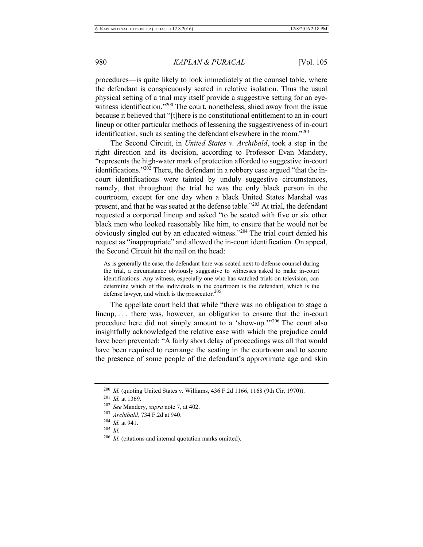procedures—is quite likely to look immediately at the counsel table, where the defendant is conspicuously seated in relative isolation. Thus the usual physical setting of a trial may itself provide a suggestive setting for an eyewitness identification."<sup>200</sup> The court, nonetheless, shied away from the issue because it believed that "[t]here is no constitutional entitlement to an in-court lineup or other particular methods of lessening the suggestiveness of in-court identification, such as seating the defendant elsewhere in the room."<sup>201</sup>

The Second Circuit, in *United States v. Archibald*, took a step in the right direction and its decision, according to Professor Evan Mandery, "represents the high-water mark of protection afforded to suggestive in-court identifications."<sup>202</sup> There, the defendant in a robbery case argued "that the incourt identifications were tainted by unduly suggestive circumstances, namely, that throughout the trial he was the only black person in the courtroom, except for one day when a black United States Marshal was present, and that he was seated at the defense table."<sup>203</sup> At trial, the defendant requested a corporeal lineup and asked "to be seated with five or six other black men who looked reasonably like him, to ensure that he would not be obviously singled out by an educated witness."<sup>204</sup> The trial court denied his request as "inappropriate" and allowed the in-court identification. On appeal, the Second Circuit hit the nail on the head:

As is generally the case, the defendant here was seated next to defense counsel during the trial, a circumstance obviously suggestive to witnesses asked to make in-court identifications. Any witness, especially one who has watched trials on television, can determine which of the individuals in the courtroom is the defendant, which is the defense lawyer, and which is the prosecutor. $205$ 

The appellate court held that while "there was no obligation to stage a lineup, ... there was, however, an obligation to ensure that the in-court procedure here did not simply amount to a 'show-up.'"<sup>206</sup> The court also insightfully acknowledged the relative ease with which the prejudice could have been prevented: "A fairly short delay of proceedings was all that would have been required to rearrange the seating in the courtroom and to secure the presence of some people of the defendant's approximate age and skin

<sup>200</sup> *Id.* (quoting United States v. Williams, 436 F.2d 1166, 1168 (9th Cir. 1970)).

<sup>201</sup> *Id.* at 1369.

<sup>202</sup> *See* Mandery, *supra* note [7,](#page-3-3) at 402.

<sup>203</sup> *Archibald*, 734 F.2d at 940.

<sup>204</sup> *Id.* at 941.

<sup>205</sup> *Id.*

<sup>206</sup> *Id.* (citations and internal quotation marks omitted).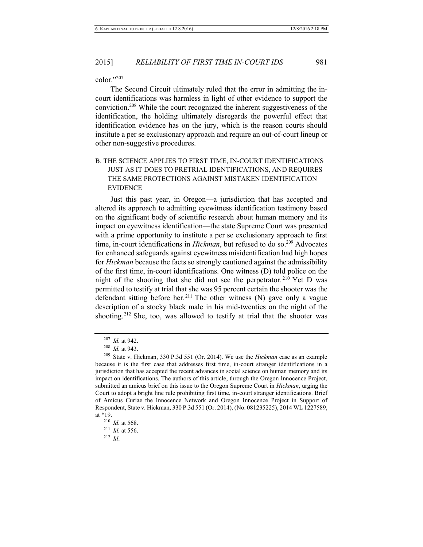color $"207$ 

The Second Circuit ultimately ruled that the error in admitting the incourt identifications was harmless in light of other evidence to support the conviction.<sup>208</sup> While the court recognized the inherent suggestiveness of the identification, the holding ultimately disregards the powerful effect that identification evidence has on the jury, which is the reason courts should institute a per se exclusionary approach and require an out-of-court lineup or other non-suggestive procedures.

# B. THE SCIENCE APPLIES TO FIRST TIME, IN-COURT IDENTIFICATIONS JUST AS IT DOES TO PRETRIAL IDENTIFICATIONS, AND REQUIRES THE SAME PROTECTIONS AGAINST MISTAKEN IDENTIFICATION EVIDENCE

Just this past year, in Oregon—a jurisdiction that has accepted and altered its approach to admitting eyewitness identification testimony based on the significant body of scientific research about human memory and its impact on eyewitness identification—the state Supreme Court was presented with a prime opportunity to institute a per se exclusionary approach to first time, in-court identifications in *Hickman*, but refused to do so.<sup>209</sup> Advocates for enhanced safeguards against eyewitness misidentification had high hopes for *Hickman* because the facts so strongly cautioned against the admissibility of the first time, in-court identifications. One witness (D) told police on the night of the shooting that she did not see the perpetrator. <sup>210</sup> Yet D was permitted to testify at trial that she was 95 percent certain the shooter was the defendant sitting before her.<sup>211</sup> The other witness  $(N)$  gave only a vague description of a stocky black male in his mid-twenties on the night of the shooting.<sup>212</sup> She, too, was allowed to testify at trial that the shooter was

<sup>212</sup> *Id*.

<sup>207</sup> *Id.* at 942.

<sup>208</sup> *Id.* at 943.

<sup>209</sup> State v. Hickman, 330 P.3d 551 (Or. 2014). We use the *Hickman* case as an example because it is the first case that addresses first time, in-court stranger identifications in a jurisdiction that has accepted the recent advances in social science on human memory and its impact on identifications. The authors of this article, through the Oregon Innocence Project, submitted an amicus brief on this issue to the Oregon Supreme Court in *Hickman*, urging the Court to adopt a bright line rule prohibiting first time, in-court stranger identifications. Brief of Amicus Curiae the Innocence Network and Oregon Innocence Project in Support of Respondent, State v. Hickman, 330 P.3d 551 (Or. 2014), (No. 081235225), 2014 WL 1227589, at \*19.

<sup>210</sup> *Id.* at 568. <sup>211</sup> *Id.* at 556.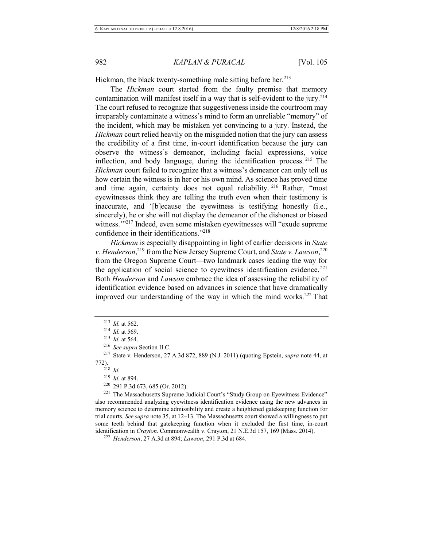Hickman, the black twenty-something male sitting before her.<sup>213</sup>

The *Hickman* court started from the faulty premise that memory contamination will manifest itself in a way that is self-evident to the jury.<sup>214</sup> The court refused to recognize that suggestiveness inside the courtroom may irreparably contaminate a witness's mind to form an unreliable "memory" of the incident, which may be mistaken yet convincing to a jury. Instead, the *Hickman* court relied heavily on the misguided notion that the jury can assess the credibility of a first time, in-court identification because the jury can observe the witness's demeanor, including facial expressions, voice inflection, and body language, during the identification process. <sup>215</sup> The *Hickman* court failed to recognize that a witness's demeanor can only tell us how certain the witness is in her or his own mind. As science has proved time and time again, certainty does not equal reliability. <sup>216</sup> Rather, "most eyewitnesses think they are telling the truth even when their testimony is inaccurate, and '[b]ecause the eyewitness is testifying honestly (i.e., sincerely), he or she will not display the demeanor of the dishonest or biased witness."<sup>217</sup> Indeed, even some mistaken eyewitnesses will "exude supreme" confidence in their identifications."<sup>218</sup>

*Hickman* is especially disappointing in light of earlier decisions in *State v. Henderson*, <sup>219</sup> from the New Jersey Supreme Court, and *State v. Lawson*, 220 from the Oregon Supreme Court—two landmark cases leading the way for the application of social science to eyewitness identification evidence.<sup> $221$ </sup> Both *Henderson* and *Lawson* embrace the idea of assessing the reliability of identification evidence based on advances in science that have dramatically improved our understanding of the way in which the mind works.<sup>222</sup> That

<sup>220</sup> 291 P.3d 673, 685 (Or. 2012).

 $221$  The Massachusetts Supreme Judicial Court's "Study Group on Evewitness Evidence" also recommended analyzing eyewitness identification evidence using the new advances in memory science to determine admissibility and create a heightened gatekeeping function for trial courts. *See supra* not[e 35,](#page-7-0) at 12–13. The Massachusetts court showed a willingness to put some teeth behind that gatekeeping function when it excluded the first time, in-court identification in *Crayton*. Commonwealth v. Crayton, 21 N.E.3d 157, 169 (Mass. 2014).

<sup>222</sup> *Henderson*, 27 A.3d at 894; *Lawson*, 291 P.3d at 684.

<sup>213</sup> *Id.* at 562.

<sup>214</sup> *Id.* at 569.

<sup>215</sup> *Id.* at 564.

<sup>216</sup> *See supra* Section II.C.

<sup>217</sup> State v. Henderson, 27 A.3d 872, 889 (N.J. 2011) (quoting Epstein, *supra* not[e 44,](#page-9-1) at 772).

 $2^{18}$  *Id.* 

<sup>219</sup> *Id.* at 894.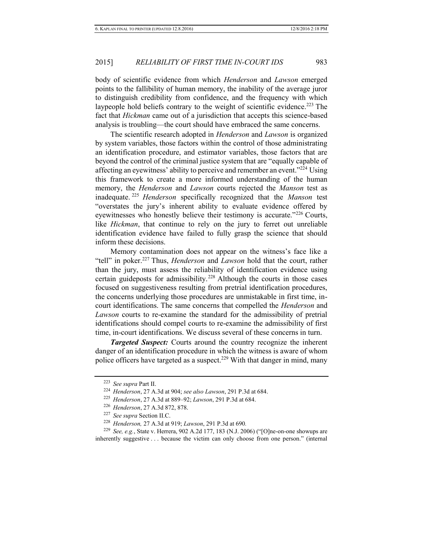body of scientific evidence from which *Henderson* and *Lawson* emerged points to the fallibility of human memory, the inability of the average juror to distinguish credibility from confidence, and the frequency with which laypeople hold beliefs contrary to the weight of scientific evidence.<sup>223</sup> The fact that *Hickman* came out of a jurisdiction that accepts this science-based analysis is troubling—the court should have embraced the same concerns.

The scientific research adopted in *Henderson* and *Lawson* is organized by system variables, those factors within the control of those administrating an identification procedure, and estimator variables, those factors that are beyond the control of the criminal justice system that are "equally capable of affecting an eyewitness' ability to perceive and remember an event."<sup>224</sup> Using this framework to create a more informed understanding of the human memory, the *Henderson* and *Lawson* courts rejected the *Manson* test as inadequate. <sup>225</sup> *Henderson* specifically recognized that the *Manson* test "overstates the jury's inherent ability to evaluate evidence offered by eyewitnesses who honestly believe their testimony is accurate."<sup>226</sup> Courts, like *Hickman*, that continue to rely on the jury to ferret out unreliable identification evidence have failed to fully grasp the science that should inform these decisions.

Memory contamination does not appear on the witness's face like a "tell" in poker.<sup>227</sup> Thus, *Henderson* and *Lawson* hold that the court, rather than the jury, must assess the reliability of identification evidence using certain guideposts for admissibility.<sup>228</sup> Although the courts in those cases focused on suggestiveness resulting from pretrial identification procedures, the concerns underlying those procedures are unmistakable in first time, incourt identifications. The same concerns that compelled the *Henderson* and *Lawson* courts to re-examine the standard for the admissibility of pretrial identifications should compel courts to re-examine the admissibility of first time, in-court identifications. We discuss several of these concerns in turn.

*Targeted Suspect:* Courts around the country recognize the inherent danger of an identification procedure in which the witness is aware of whom police officers have targeted as a suspect.<sup>229</sup> With that danger in mind, many

<sup>223</sup> *See supra* Part II.

<sup>224</sup> *Henderson*, 27 A.3d at 904; *see also Lawson*, 291 P.3d at 684.

<sup>225</sup> *Henderson*, 27 A.3d at 889–92; *Lawson*, 291 P.3d at 684.

<sup>226</sup> *Henderson*, 27 A.3d 872, 878.

<sup>227</sup> *See supra* Section II.C.

<sup>228</sup> *Henderson,* 27 A.3d at 919; *Lawson*, 291 P.3d at 690*.*

<sup>229</sup> *See, e.g.*, State v. Herrera, 902 A.2d 177, 183 (N.J. 2006) ("[O]ne-on-one showups are inherently suggestive . . . because the victim can only choose from one person." (internal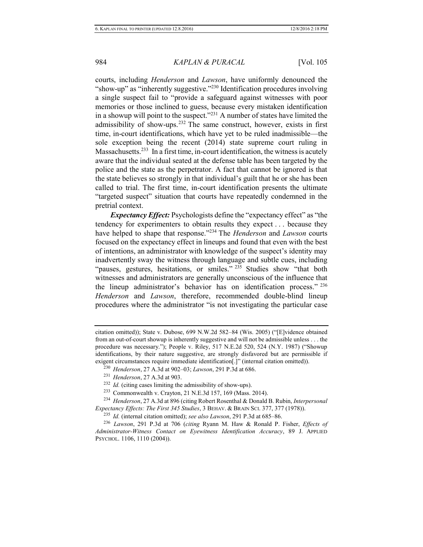courts, including *Henderson* and *Lawson*, have uniformly denounced the "show-up" as "inherently suggestive."<sup>230</sup> Identification procedures involving a single suspect fail to "provide a safeguard against witnesses with poor memories or those inclined to guess, because every mistaken identification in a showup will point to the suspect."<sup>231</sup> A number of states have limited the admissibility of show-ups.<sup>232</sup> The same construct, however, exists in first time, in-court identifications, which have yet to be ruled inadmissible—the sole exception being the recent (2014) state supreme court ruling in Massachusetts.<sup>233</sup> In a first time, in-court identification, the witness is acutely aware that the individual seated at the defense table has been targeted by the police and the state as the perpetrator. A fact that cannot be ignored is that the state believes so strongly in that individual's guilt that he or she has been called to trial. The first time, in-court identification presents the ultimate "targeted suspect" situation that courts have repeatedly condemned in the pretrial context.

*Expectancy Effect:* Psychologists define the "expectancy effect" as "the tendency for experimenters to obtain results they expect . . . because they have helped to shape that response."<sup>234</sup> The *Henderson* and *Lawson* courts focused on the expectancy effect in lineups and found that even with the best of intentions, an administrator with knowledge of the suspect's identity may inadvertently sway the witness through language and subtle cues, including "pauses, gestures, hesitations, or smiles."<sup>235</sup> Studies show "that both witnesses and administrators are generally unconscious of the influence that the lineup administrator's behavior has on identification process." <sup>236</sup> *Henderson* and *Lawson*, therefore, recommended double-blind lineup procedures where the administrator "is not investigating the particular case

<sup>234</sup> *Henderson*, 27 A.3d at 896 (citing Robert Rosenthal & Donald B. Rubin, *Interpersonal Expectancy Effects: The First 345 Studies*, 3 BEHAV. & BRAIN SCI. 377, 377 (1978)).

citation omitted)); State v. Dubose, 699 N.W.2d 582–84 (Wis. 2005) ("[E]vidence obtained from an out-of-court showup is inherently suggestive and will not be admissible unless . . . the procedure was necessary."); People v. Riley, 517 N.E.2d 520, 524 (N.Y. 1987) ("Showup identifications, by their nature suggestive, are strongly disfavored but are permissible if exigent circumstances require immediate identification[.]" (internal citation omitted)).

<sup>230</sup> *Henderson*, 27 A.3d at 902–03; *Lawson*, 291 P.3d at 686.

<sup>231</sup> *Henderson*, 27 A.3d at 903.

<sup>232</sup> *Id.* (citing cases limiting the admissibility of show-ups).

<sup>233</sup> Commonwealth v. Crayton, 21 N.E.3d 157, 169 (Mass. 2014).

<sup>235</sup> *Id.* (internal citation omitted); *see also Lawson*, 291 P.3d at 685–86.

<sup>236</sup> *Lawson*, 291 P.3d at 706 (*citing* Ryann M. Haw & Ronald P. Fisher, *Effects of Administrator-Witness Contact on Eyewitness Identification Accuracy*, 89 J. APPLIED PSYCHOL. 1106, 1110 (2004)).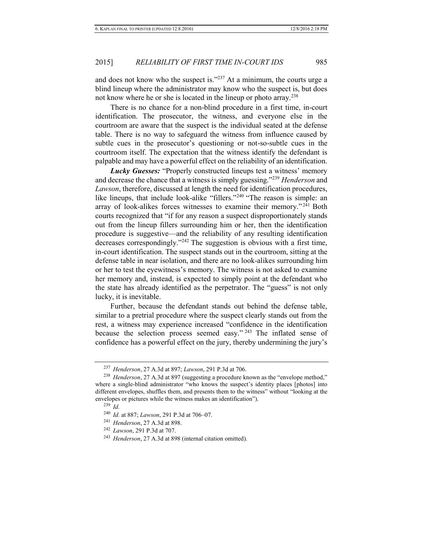and does not know who the suspect is."<sup>237</sup> At a minimum, the courts urge a blind lineup where the administrator may know who the suspect is, but does not know where he or she is located in the lineup or photo array.<sup>238</sup>

There is no chance for a non-blind procedure in a first time, in-court identification. The prosecutor, the witness, and everyone else in the courtroom are aware that the suspect is the individual seated at the defense table. There is no way to safeguard the witness from influence caused by subtle cues in the prosecutor's questioning or not-so-subtle cues in the courtroom itself. The expectation that the witness identify the defendant is palpable and may have a powerful effect on the reliability of an identification.

*Lucky Guesses:* "Properly constructed lineups test a witness' memory and decrease the chance that a witness is simply guessing."<sup>239</sup> *Henderson* and *Lawson*, therefore, discussed at length the need for identification procedures, like lineups, that include look-alike "fillers."<sup>240</sup> "The reason is simple: an array of look-alikes forces witnesses to examine their memory." $2\overline{4}1$  Both courts recognized that "if for any reason a suspect disproportionately stands out from the lineup fillers surrounding him or her, then the identification procedure is suggestive—and the reliability of any resulting identification decreases correspondingly."<sup>242</sup> The suggestion is obvious with a first time, in-court identification. The suspect stands out in the courtroom, sitting at the defense table in near isolation, and there are no look-alikes surrounding him or her to test the eyewitness's memory. The witness is not asked to examine her memory and, instead, is expected to simply point at the defendant who the state has already identified as the perpetrator. The "guess" is not only lucky, it is inevitable.

Further, because the defendant stands out behind the defense table, similar to a pretrial procedure where the suspect clearly stands out from the rest, a witness may experience increased "confidence in the identification because the selection process seemed easy." <sup>243</sup> The inflated sense of confidence has a powerful effect on the jury, thereby undermining the jury's

<sup>237</sup> *Henderson*, 27 A.3d at 897; *Lawson*, 291 P.3d at 706.

<sup>&</sup>lt;sup>238</sup> *Henderson*, 27 A.3d at 897 (suggesting a procedure known as the "envelope method," where a single-blind administrator "who knows the suspect's identity places [photos] into different envelopes, shuffles them, and presents them to the witness" without "looking at the envelopes or pictures while the witness makes an identification").

<sup>239</sup> *Id.*

<sup>240</sup> *Id.* at 887; *Lawson*, 291 P.3d at 706–07.

<sup>241</sup> *Henderson*, 27 A.3d at 898.

<sup>242</sup> *Lawson*, 291 P.3d at 707.

<sup>243</sup> *Henderson*, 27 A.3d at 898 (internal citation omitted).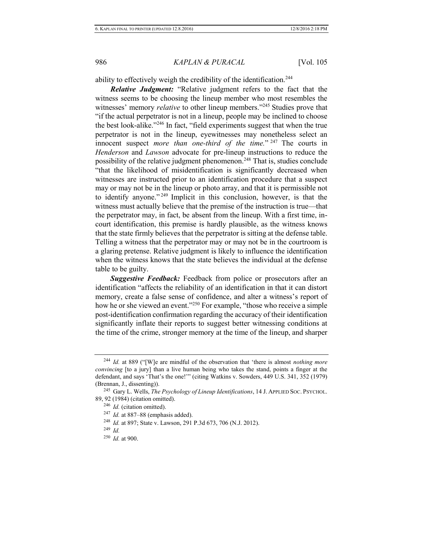ability to effectively weigh the credibility of the identification.<sup>244</sup>

*Relative Judgment:* "Relative judgment refers to the fact that the witness seems to be choosing the lineup member who most resembles the witnesses' memory *relative* to other lineup members."<sup>245</sup> Studies prove that "if the actual perpetrator is not in a lineup, people may be inclined to choose the best look-alike."<sup>246</sup> In fact, "field experiments suggest that when the true perpetrator is not in the lineup, eyewitnesses may nonetheless select an innocent suspect *more than one-third of the time.*" <sup>247</sup> The courts in *Henderson* and *Lawson* advocate for pre-lineup instructions to reduce the possibility of the relative judgment phenomenon.<sup>248</sup> That is, studies conclude "that the likelihood of misidentification is significantly decreased when witnesses are instructed prior to an identification procedure that a suspect may or may not be in the lineup or photo array, and that it is permissible not to identify anyone." <sup>249</sup> Implicit in this conclusion, however, is that the witness must actually believe that the premise of the instruction is true—that the perpetrator may, in fact, be absent from the lineup. With a first time, incourt identification, this premise is hardly plausible, as the witness knows that the state firmly believes that the perpetrator is sitting at the defense table. Telling a witness that the perpetrator may or may not be in the courtroom is a glaring pretense. Relative judgment is likely to influence the identification when the witness knows that the state believes the individual at the defense table to be guilty.

*Suggestive Feedback:* Feedback from police or prosecutors after an identification "affects the reliability of an identification in that it can distort memory, create a false sense of confidence, and alter a witness's report of how he or she viewed an event."<sup>250</sup> For example, "those who receive a simple post-identification confirmation regarding the accuracy of their identification significantly inflate their reports to suggest better witnessing conditions at the time of the crime, stronger memory at the time of the lineup, and sharper

<sup>249</sup> *Id.*

<sup>244</sup> *Id.* at 889 ("[W]e are mindful of the observation that 'there is almost *nothing more convincing* [to a jury] than a live human being who takes the stand, points a finger at the defendant, and says 'That's the one!'" (citing Watkins v. Sowders, 449 U.S. 341, 352 (1979) (Brennan, J., dissenting)).

<sup>245</sup> Gary L. Wells, *The Psychology of Lineup Identifications*, 14 J. APPLIED SOC. PSYCHOL. 89, 92 (1984) (citation omitted).

<sup>246</sup> *Id.* (citation omitted).

<sup>247</sup> *Id.* at 887–88 (emphasis added).

<sup>248</sup> *Id.* at 897; State v. Lawson, 291 P.3d 673, 706 (N.J. 2012).

<sup>250</sup> *Id.* at 900.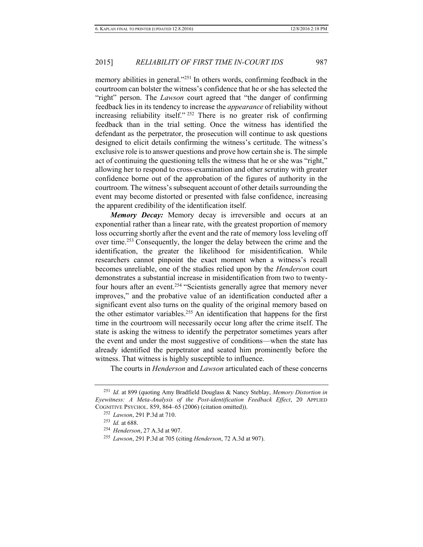memory abilities in general."<sup>251</sup> In others words, confirming feedback in the courtroom can bolster the witness's confidence that he or she has selected the "right" person. The *Lawson* court agreed that "the danger of confirming feedback lies in its tendency to increase the *appearance* of reliability without increasing reliability itself." <sup>252</sup> There is no greater risk of confirming feedback than in the trial setting. Once the witness has identified the defendant as the perpetrator, the prosecution will continue to ask questions designed to elicit details confirming the witness's certitude. The witness's exclusive role is to answer questions and prove how certain she is. The simple act of continuing the questioning tells the witness that he or she was "right," allowing her to respond to cross-examination and other scrutiny with greater confidence borne out of the approbation of the figures of authority in the courtroom. The witness's subsequent account of other details surrounding the event may become distorted or presented with false confidence, increasing the apparent credibility of the identification itself.

*Memory Decay:* Memory decay is irreversible and occurs at an exponential rather than a linear rate, with the greatest proportion of memory loss occurring shortly after the event and the rate of memory loss leveling off over time.<sup>253</sup> Consequently, the longer the delay between the crime and the identification, the greater the likelihood for misidentification. While researchers cannot pinpoint the exact moment when a witness's recall becomes unreliable, one of the studies relied upon by the *Henderson* court demonstrates a substantial increase in misidentification from two to twentyfour hours after an event.<sup>254</sup> "Scientists generally agree that memory never improves," and the probative value of an identification conducted after a significant event also turns on the quality of the original memory based on the other estimator variables.<sup>255</sup> An identification that happens for the first time in the courtroom will necessarily occur long after the crime itself. The state is asking the witness to identify the perpetrator sometimes years after the event and under the most suggestive of conditions—when the state has already identified the perpetrator and seated him prominently before the witness. That witness is highly susceptible to influence.

The courts in *Henderson* and *Lawson* articulated each of these concerns

<sup>251</sup> *Id.* at 899 (quoting Amy Bradfield Douglass & Nancy Steblay, *Memory Distortion in Eyewitness: A Meta-Analysis of the Post-identification Feedback Effect*, 20 APPLIED COGNITIVE PSYCHOL. 859, 864–65 (2006) (citation omitted)).

<sup>252</sup> *Lawson*, 291 P.3d at 710.

<sup>253</sup> *Id.* at 688.

<sup>254</sup> *Henderson*, 27 A.3d at 907.

<sup>255</sup> *Lawson*, 291 P.3d at 705 (citing *Henderson*, 72 A.3d at 907).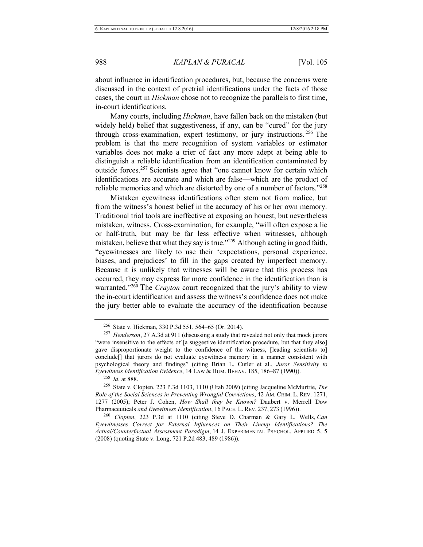about influence in identification procedures, but, because the concerns were discussed in the context of pretrial identifications under the facts of those cases, the court in *Hickman* chose not to recognize the parallels to first time, in-court identifications.

Many courts, including *Hickman*, have fallen back on the mistaken (but widely held) belief that suggestiveness, if any, can be "cured" for the jury through cross-examination, expert testimony, or jury instructions. <sup>256</sup> The problem is that the mere recognition of system variables or estimator variables does not make a trier of fact any more adept at being able to distinguish a reliable identification from an identification contaminated by outside forces.<sup>257</sup> Scientists agree that "one cannot know for certain which identifications are accurate and which are false—which are the product of reliable memories and which are distorted by one of a number of factors."<sup>258</sup>

<span id="page-42-0"></span>Mistaken eyewitness identifications often stem not from malice, but from the witness's honest belief in the accuracy of his or her own memory. Traditional trial tools are ineffective at exposing an honest, but nevertheless mistaken, witness. Cross-examination, for example, "will often expose a lie or half-truth, but may be far less effective when witnesses, although mistaken, believe that what they say is true."<sup>259</sup> Although acting in good faith, "eyewitnesses are likely to use their 'expectations, personal experience, biases, and prejudices' to fill in the gaps created by imperfect memory. Because it is unlikely that witnesses will be aware that this process has occurred, they may express far more confidence in the identification than is warranted."<sup>260</sup> The *Crayton* court recognized that the jury's ability to view the in-court identification and assess the witness's confidence does not make the jury better able to evaluate the accuracy of the identification because

<sup>258</sup> *Id.* at 888.

<sup>259</sup> State v. Clopten, 223 P.3d 1103, 1110 (Utah 2009) (citing Jacqueline McMurtrie, *The Role of the Social Sciences in Preventing Wrongful Convictions*, 42 AM. CRIM. L. REV. 1271, 1277 (2005); Peter J. Cohen, *How Shall they be Known?* Daubert v. Merrell Dow Pharmaceuticals *and Eyewitness Identification*, 16 PACE. L. REV. 237, 273 (1996)).

<sup>260</sup> *Clopten*, 223 P.3d at 1110 (citing Steve D. Charman & Gary L. Wells, *Can Eyewitnesses Correct for External Influences on Their Lineup Identifications? The Actual/Counterfactual Assessment Paradigm*, 14 J. EXPERIMENTAL PSYCHOL. APPLIED 5, 5 (2008) (quoting State v. Long, 721 P.2d 483, 489 (1986)).

<sup>256</sup> State v. Hickman, 330 P.3d 551, 564–65 (Or. 2014).

<sup>257</sup> *Henderson*, 27 A.3d at 911 (discussing a study that revealed not only that mock jurors "were insensitive to the effects of [a suggestive identification procedure, but that they also] gave disproportionate weight to the confidence of the witness, [leading scientists to] conclude[] that jurors do not evaluate eyewitness memory in a manner consistent with psychological theory and findings" (citing Brian L. Cutler et al., *Juror Sensitivity to Eyewitness Identification Evidence*, 14 LAW & HUM. BEHAV. 185, 186–87 (1990)).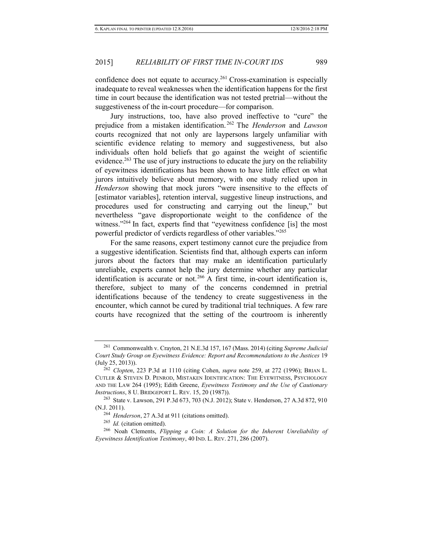confidence does not equate to accuracy.<sup>261</sup> Cross-examination is especially inadequate to reveal weaknesses when the identification happens for the first time in court because the identification was not tested pretrial—without the suggestiveness of the in-court procedure—for comparison.

Jury instructions, too, have also proved ineffective to "cure" the prejudice from a mistaken identification. <sup>262</sup> The *Henderson* and *Lawson* courts recognized that not only are laypersons largely unfamiliar with scientific evidence relating to memory and suggestiveness, but also individuals often hold beliefs that go against the weight of scientific evidence.<sup>263</sup> The use of jury instructions to educate the jury on the reliability of eyewitness identifications has been shown to have little effect on what jurors intuitively believe about memory, with one study relied upon in *Henderson* showing that mock jurors "were insensitive to the effects of [estimator variables], retention interval, suggestive lineup instructions, and procedures used for constructing and carrying out the lineup," but nevertheless "gave disproportionate weight to the confidence of the witness."<sup>264</sup> In fact, experts find that "eyewitness confidence [is] the most powerful predictor of verdicts regardless of other variables."<sup>265</sup>

For the same reasons, expert testimony cannot cure the prejudice from a suggestive identification. Scientists find that, although experts can inform jurors about the factors that may make an identification particularly unreliable, experts cannot help the jury determine whether any particular identification is accurate or not.<sup>266</sup> A first time, in-court identification is, therefore, subject to many of the concerns condemned in pretrial identifications because of the tendency to create suggestiveness in the encounter, which cannot be cured by traditional trial techniques. A few rare courts have recognized that the setting of the courtroom is inherently

<sup>261</sup> Commonwealth v. Crayton, 21 N.E.3d 157, 167 (Mass. 2014) (citing *Supreme Judicial Court Study Group on Eyewitness Evidence: Report and Recommendations to the Justices* 19 (July 25, 2013)).

<sup>262</sup> *Clopten*, 223 P.3d at 1110 (citing Cohen, *supra* note [259,](#page-42-0) at 272 (1996); BRIAN L. CUTLER & STEVEN D. PENROD, MISTAKEN IDENTIFICATION: THE EYEWITNESS, PSYCHOLOGY AND THE LAW 264 (1995); Edith Greene, *Eyewitness Testimony and the Use of Cautionary Instructions*, 8 U. BRIDGEPORT L. REV. 15, 20 (1987)).

<sup>263</sup> State v. Lawson, 291 P.3d 673, 703 (N.J. 2012); State v. Henderson, 27 A.3d 872, 910 (N.J. 2011).

<sup>264</sup> *Henderson*, 27 A.3d at 911 (citations omitted).

<sup>265</sup> *Id.* (citation omitted).

<sup>266</sup> Noah Clements, *Flipping a Coin: A Solution for the Inherent Unreliability of Eyewitness Identification Testimony*, 40 IND. L. REV. 271, 286 (2007).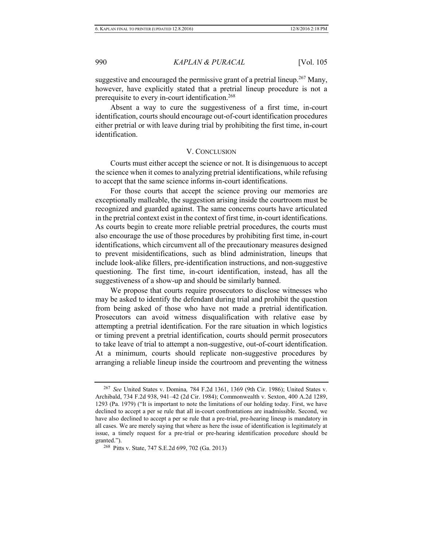suggestive and encouraged the permissive grant of a pretrial lineup.<sup>267</sup> Many, however, have explicitly stated that a pretrial lineup procedure is not a prerequisite to every in-court identification.<sup>268</sup>

Absent a way to cure the suggestiveness of a first time, in-court identification, courts should encourage out-of-court identification procedures either pretrial or with leave during trial by prohibiting the first time, in-court identification.

#### V. CONCLUSION

Courts must either accept the science or not. It is disingenuous to accept the science when it comes to analyzing pretrial identifications, while refusing to accept that the same science informs in-court identifications.

For those courts that accept the science proving our memories are exceptionally malleable, the suggestion arising inside the courtroom must be recognized and guarded against. The same concerns courts have articulated in the pretrial context exist in the context of first time, in-court identifications. As courts begin to create more reliable pretrial procedures, the courts must also encourage the use of those procedures by prohibiting first time, in-court identifications, which circumvent all of the precautionary measures designed to prevent misidentifications, such as blind administration, lineups that include look-alike fillers, pre-identification instructions, and non-suggestive questioning. The first time, in-court identification, instead, has all the suggestiveness of a show-up and should be similarly banned.

We propose that courts require prosecutors to disclose witnesses who may be asked to identify the defendant during trial and prohibit the question from being asked of those who have not made a pretrial identification. Prosecutors can avoid witness disqualification with relative ease by attempting a pretrial identification. For the rare situation in which logistics or timing prevent a pretrial identification, courts should permit prosecutors to take leave of trial to attempt a non-suggestive, out-of-court identification. At a minimum, courts should replicate non-suggestive procedures by arranging a reliable lineup inside the courtroom and preventing the witness

<sup>267</sup> *See* United States v. Domina*,* 784 F.2d 1361, 1369 (9th Cir. 1986); United States v. Archibald, 734 F.2d 938, 941–42 (2d Cir. 1984); Commonwealth v. Sexton, 400 A.2d 1289, 1293 (Pa. 1979) ("It is important to note the limitations of our holding today. First, we have declined to accept a per se rule that all in-court confrontations are inadmissible. Second, we have also declined to accept a per se rule that a pre-trial, pre-hearing lineup is mandatory in all cases. We are merely saying that where as here the issue of identification is legitimately at issue, a timely request for a pre-trial or pre-hearing identification procedure should be granted.").

<sup>268</sup> Pitts v. State, 747 S.E.2d 699, 702 (Ga. 2013)